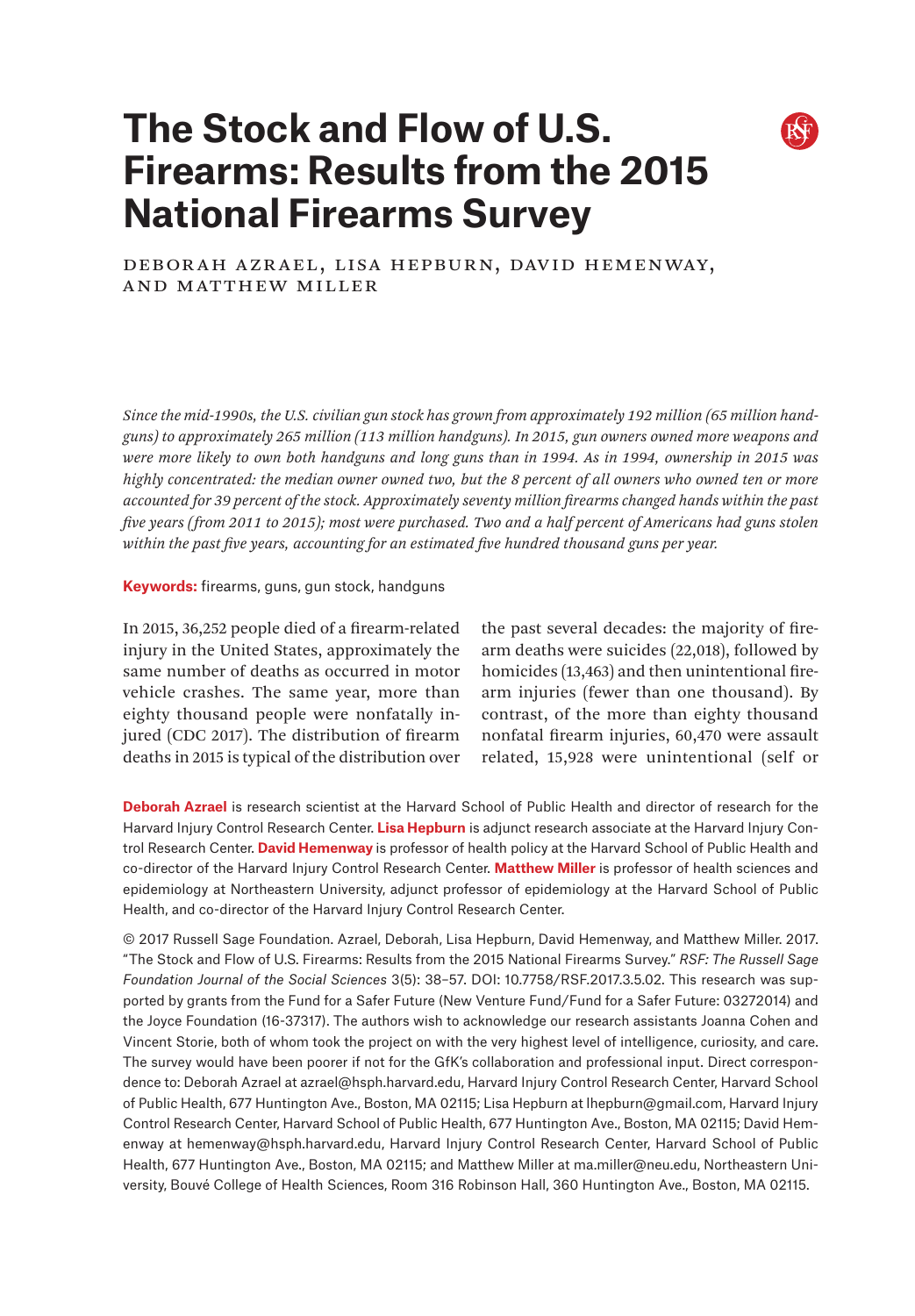# **The Stock and Flow of U.S. Firearms: Results from the 2015 National Firearms Survey**



# DEBORAH AZRAEL, LISA HEPBURN, DAVID HEMENWAY, and Matthew Miller

*Since the mid-1990s, the U.S. civilian gun stock has grown from approximately 192 million (65 million handguns) to approximately 265 million (113 million handguns). In 2015, gun owners owned more weapons and were more likely to own both handguns and long guns than in 1994. As in 1994, ownership in 2015 was highly concentrated: the median owner owned two, but the 8 percent of all owners who owned ten or more accounted for 39 percent of the stock. Approximately seventy million firearms changed hands within the past five years (from 2011 to 2015); most were purchased. Two and a half percent of Americans had guns stolen within the past five years, accounting for an estimated five hundred thousand guns per year.*

#### **Keywords:** firearms, guns, gun stock, handguns

In 2015, 36,252 people died of a firearm-related injury in the United States, approximately the same number of deaths as occurred in motor vehicle crashes. The same year, more than eighty thousand people were nonfatally injured (CDC 2017). The distribution of firearm deaths in 2015 is typical of the distribution over the past several decades: the majority of firearm deaths were suicides (22,018), followed by homicides (13,463) and then unintentional firearm injuries (fewer than one thousand). By contrast, of the more than eighty thousand nonfatal firearm injuries, 60,470 were assault related, 15,928 were unintentional (self or

**Deborah Azrael** is research scientist at the Harvard School of Public Health and director of research for the Harvard Injury Control Research Center. **Lisa Hepburn** is adjunct research associate at the Harvard Injury Control Research Center. **David Hemenway** is professor of health policy at the Harvard School of Public Health and co-director of the Harvard Injury Control Research Center. **Matthew Miller** is professor of health sciences and epidemiology at Northeastern University, adjunct professor of epidemiology at the Harvard School of Public Health, and co-director of the Harvard Injury Control Research Center.

© 2017 Russell Sage Foundation. Azrael, Deborah, Lisa Hepburn, David Hemenway, and Matthew Miller. 2017. "The Stock and Flow of U.S. Firearms: Results from the 2015 National Firearms Survey." *RSF: The Russell Sage Foundation Journal of the Social Sciences* 3(5): 38–57. DOI: 10.7758/RSF.2017.3.5.02. This research was supported by grants from the Fund for a Safer Future (New Venture Fund/Fund for a Safer Future: 03272014) and the Joyce Foundation (16-37317). The authors wish to acknowledge our research assistants Joanna Cohen and Vincent Storie, both of whom took the project on with the very highest level of intelligence, curiosity, and care. The survey would have been poorer if not for the GfK's collaboration and professional input. Direct correspondence to: Deborah Azrael at [azrael@hsph.harvard.edu,](mailto:azrael%40hsph.harvard.edu?subject=) Harvard Injury Control Research Center, Harvard School of Public Health, 677 Huntington Ave., Boston, MA 02115; Lisa Hepburn at [lhepburn@gmail.com](mailto:lhepburn%40gmail.com?subject=), Harvard Injury Control Research Center, Harvard School of Public Health, 677 Huntington Ave., Boston, MA 02115; David Hemenway at hemenway@[hsph.harvard.edu,](mailto:hsph.harvard.edu?subject=) Harvard Injury Control Research Center, Harvard School of Public Health, 677 Huntington Ave., Boston, MA 02115; and Matthew Miller at [ma.miller@neu.edu,](mailto:ma.miller%40neu.edu?subject=) Northeastern University, Bouvé College of Health Sciences, Room 316 Robinson Hall, 360 Huntington Ave., Boston, MA 02115.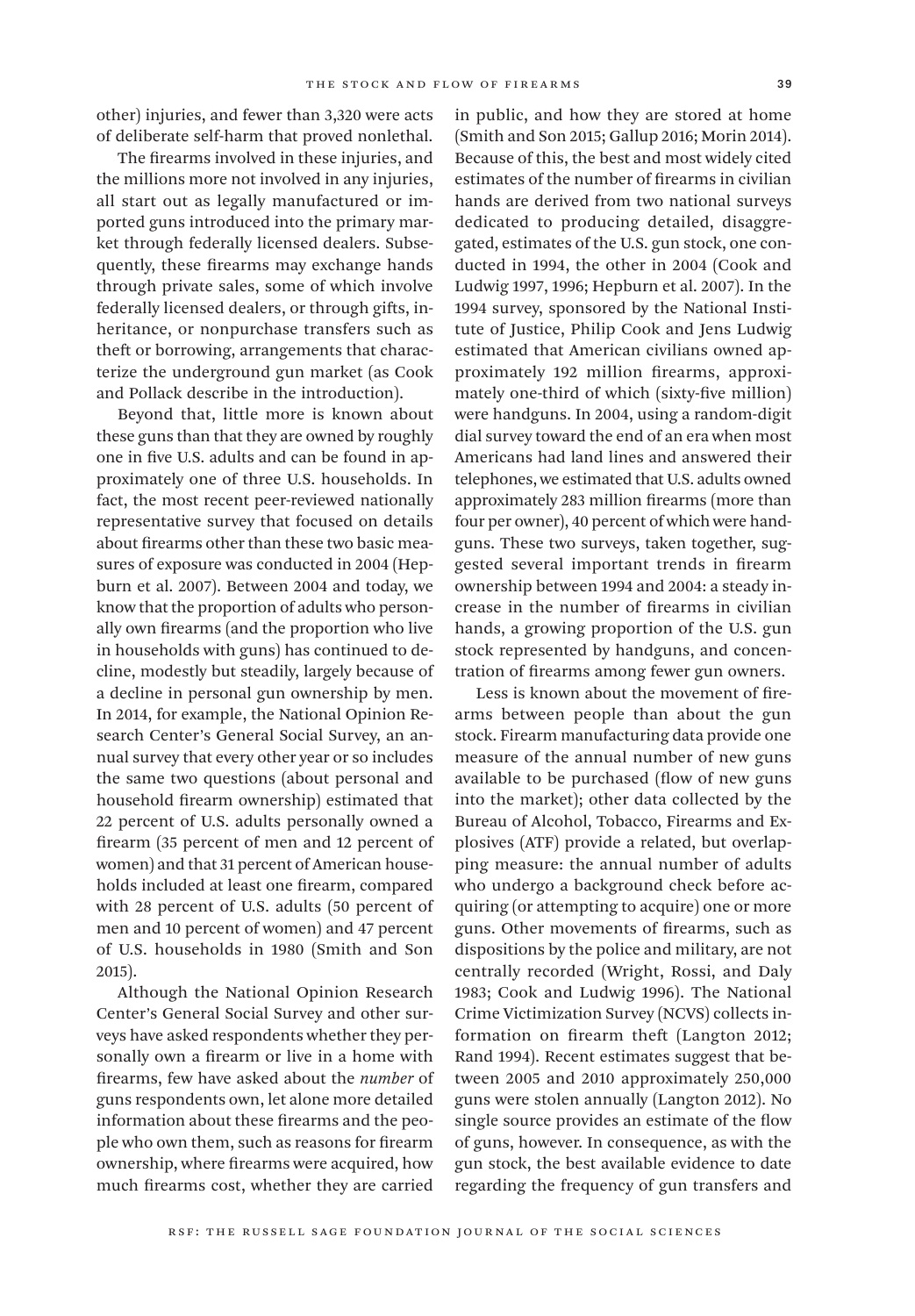other) injuries, and fewer than 3,320 were acts of deliberate self-harm that proved nonlethal.

The firearms involved in these injuries, and the millions more not involved in any injuries, all start out as legally manufactured or imported guns introduced into the primary market through federally licensed dealers. Subsequently, these firearms may exchange hands through private sales, some of which involve federally licensed dealers, or through gifts, inheritance, or nonpurchase transfers such as theft or borrowing, arrangements that characterize the underground gun market (as Cook and Pollack describe in the introduction).

Beyond that, little more is known about these guns than that they are owned by roughly one in five U.S. adults and can be found in approximately one of three U.S. households. In fact, the most recent peer-reviewed nationally representative survey that focused on details about firearms other than these two basic measures of exposure was conducted in 2004 (Hepburn et al. 2007). Between 2004 and today, we know that the proportion of adults who personally own firearms (and the proportion who live in households with guns) has continued to decline, modestly but steadily, largely because of a decline in personal gun ownership by men. In 2014, for example, the National Opinion Research Center's General Social Survey, an annual survey that every other year or so includes the same two questions (about personal and household firearm ownership) estimated that 22 percent of U.S. adults personally owned a firearm (35 percent of men and 12 percent of women) and that 31 percent of American households included at least one firearm, compared with 28 percent of U.S. adults (50 percent of men and 10 percent of women) and 47 percent of U.S. households in 1980 (Smith and Son 2015).

Although the National Opinion Research Center's General Social Survey and other surveys have asked respondents whether they personally own a firearm or live in a home with firearms, few have asked about the *number* of guns respondents own, let alone more detailed information about these firearms and the people who own them, such as reasons for firearm ownership, where firearms were acquired, how much firearms cost, whether they are carried

in public, and how they are stored at home (Smith and Son 2015; Gallup 2016; Morin 2014). Because of this, the best and most widely cited estimates of the number of firearms in civilian hands are derived from two national surveys dedicated to producing detailed, disaggregated, estimates of the U.S. gun stock, one conducted in 1994, the other in 2004 (Cook and Ludwig 1997, 1996; Hepburn et al. 2007). In the 1994 survey, sponsored by the National Institute of Justice, Philip Cook and Jens Ludwig estimated that American civilians owned approximately 192 million firearms, approximately one-third of which (sixty-five million) were handguns. In 2004, using a random-digit dial survey toward the end of an era when most Americans had land lines and answered their telephones, we estimated that U.S. adults owned approximately 283 million firearms (more than four per owner), 40 percent of which were handguns. These two surveys, taken together, suggested several important trends in firearm ownership between 1994 and 2004: a steady increase in the number of firearms in civilian hands, a growing proportion of the U.S. gun stock represented by handguns, and concentration of firearms among fewer gun owners.

Less is known about the movement of firearms between people than about the gun stock. Firearm manufacturing data provide one measure of the annual number of new guns available to be purchased (flow of new guns into the market); other data collected by the Bureau of Alcohol, Tobacco, Firearms and Explosives (ATF) provide a related, but overlapping measure: the annual number of adults who undergo a background check before acquiring (or attempting to acquire) one or more guns. Other movements of firearms, such as dispositions by the police and military, are not centrally recorded (Wright, Rossi, and Daly 1983; Cook and Ludwig 1996). The National Crime Victimization Survey (NCVS) collects information on firearm theft (Langton 2012; Rand 1994). Recent estimates suggest that between 2005 and 2010 approximately 250,000 guns were stolen annually (Langton 2012). No single source provides an estimate of the flow of guns, however. In consequence, as with the gun stock, the best available evidence to date regarding the frequency of gun transfers and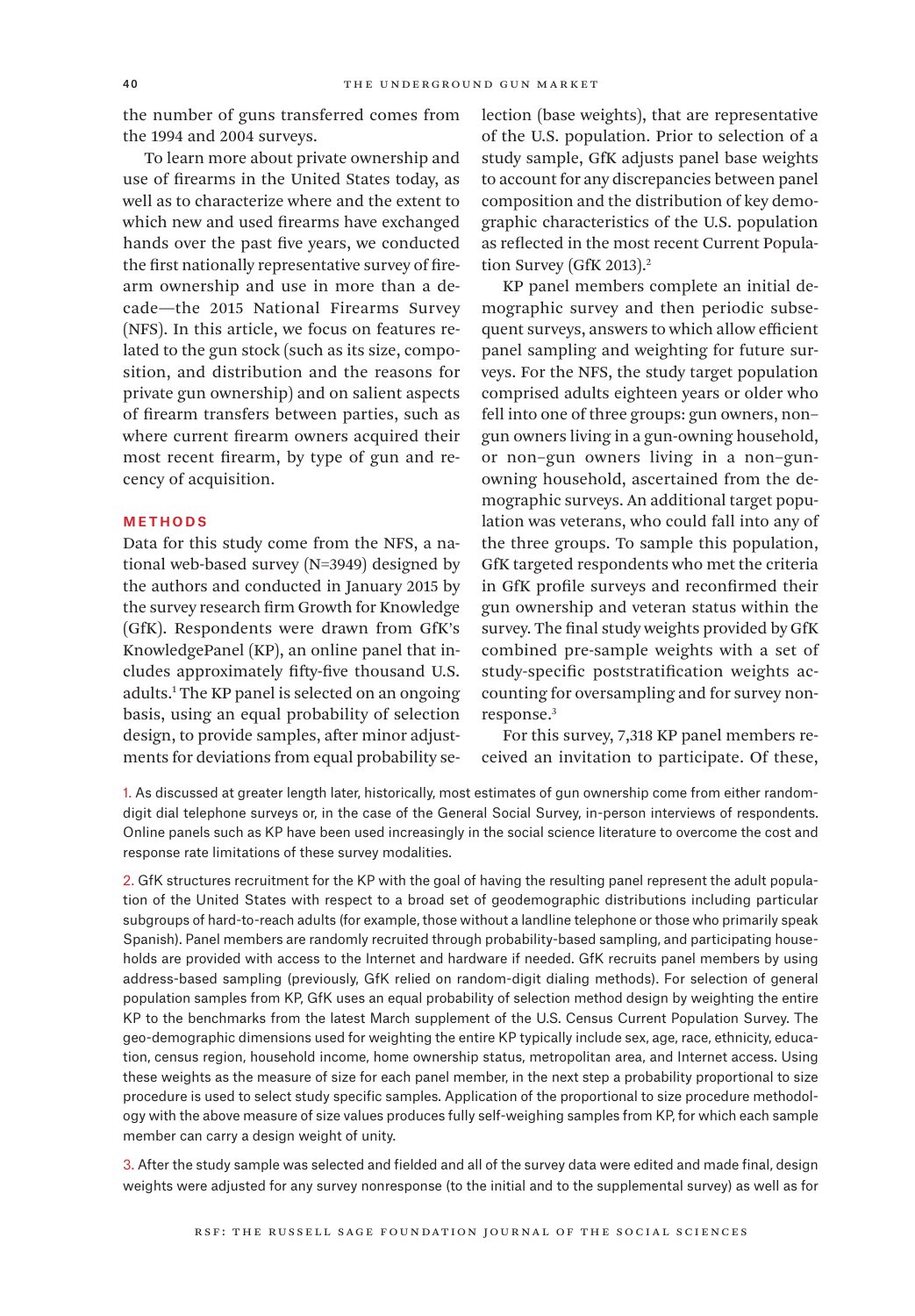the number of guns transferred comes from the 1994 and 2004 surveys.

To learn more about private ownership and use of firearms in the United States today, as well as to characterize where and the extent to which new and used firearms have exchanged hands over the past five years, we conducted the first nationally representative survey of firearm ownership and use in more than a decade—the 2015 National Firearms Survey (NFS). In this article, we focus on features related to the gun stock (such as its size, composition, and distribution and the reasons for private gun ownership) and on salient aspects of firearm transfers between parties, such as where current firearm owners acquired their most recent firearm, by type of gun and recency of acquisition.

#### Methods

Data for this study come from the NFS, a national web-based survey (N=3949) designed by the authors and conducted in January 2015 by the survey research firm Growth for Knowledge (GfK). Respondents were drawn from GfK's KnowledgePanel (KP), an online panel that includes approximately fifty-five thousand U.S. adults.1 The KP panel is selected on an ongoing basis, using an equal probability of selection design, to provide samples, after minor adjustments for deviations from equal probability selection (base weights), that are representative of the U.S. population. Prior to selection of a study sample, GfK adjusts panel base weights to account for any discrepancies between panel composition and the distribution of key demographic characteristics of the U.S. population as reflected in the most recent Current Population Survey (GfK 2013).<sup>2</sup>

KP panel members complete an initial demographic survey and then periodic subsequent surveys, answers to which allow efficient panel sampling and weighting for future surveys. For the NFS, the study target population comprised adults eighteen years or older who fell into one of three groups: gun owners, non– gun owners living in a gun-owning household, or non–gun owners living in a non–gunowning household, ascertained from the demographic surveys. An additional target population was veterans, who could fall into any of the three groups. To sample this population, GfK targeted respondents who met the criteria in GfK profile surveys and reconfirmed their gun ownership and veteran status within the survey. The final study weights provided by GfK combined pre-sample weights with a set of study-specific poststratification weights accounting for oversampling and for survey nonresponse.3

For this survey, 7,318 KP panel members received an invitation to participate. Of these,

1. As discussed at greater length later, historically, most estimates of gun ownership come from either randomdigit dial telephone surveys or, in the case of the General Social Survey, in-person interviews of respondents. Online panels such as KP have been used increasingly in the social science literature to overcome the cost and response rate limitations of these survey modalities.

2. GfK structures recruitment for the KP with the goal of having the resulting panel represent the adult population of the United States with respect to a broad set of geodemographic distributions including particular subgroups of hard-to-reach adults (for example, those without a landline telephone or those who primarily speak Spanish). Panel members are randomly recruited through probability-based sampling, and participating households are provided with access to the Internet and hardware if needed. GfK recruits panel members by using address-based sampling (previously, GfK relied on random-digit dialing methods). For selection of general population samples from KP, GfK uses an equal probability of selection method design by weighting the entire KP to the benchmarks from the latest March supplement of the U.S. Census Current Population Survey. The geo-demographic dimensions used for weighting the entire KP typically include sex, age, race, ethnicity, education, census region, household income, home ownership status, metropolitan area, and Internet access. Using these weights as the measure of size for each panel member, in the next step a probability proportional to size procedure is used to select study specific samples. Application of the proportional to size procedure methodology with the above measure of size values produces fully self-weighing samples from KP, for which each sample member can carry a design weight of unity.

3. After the study sample was selected and fielded and all of the survey data were edited and made final, design weights were adjusted for any survey nonresponse (to the initial and to the supplemental survey) as well as for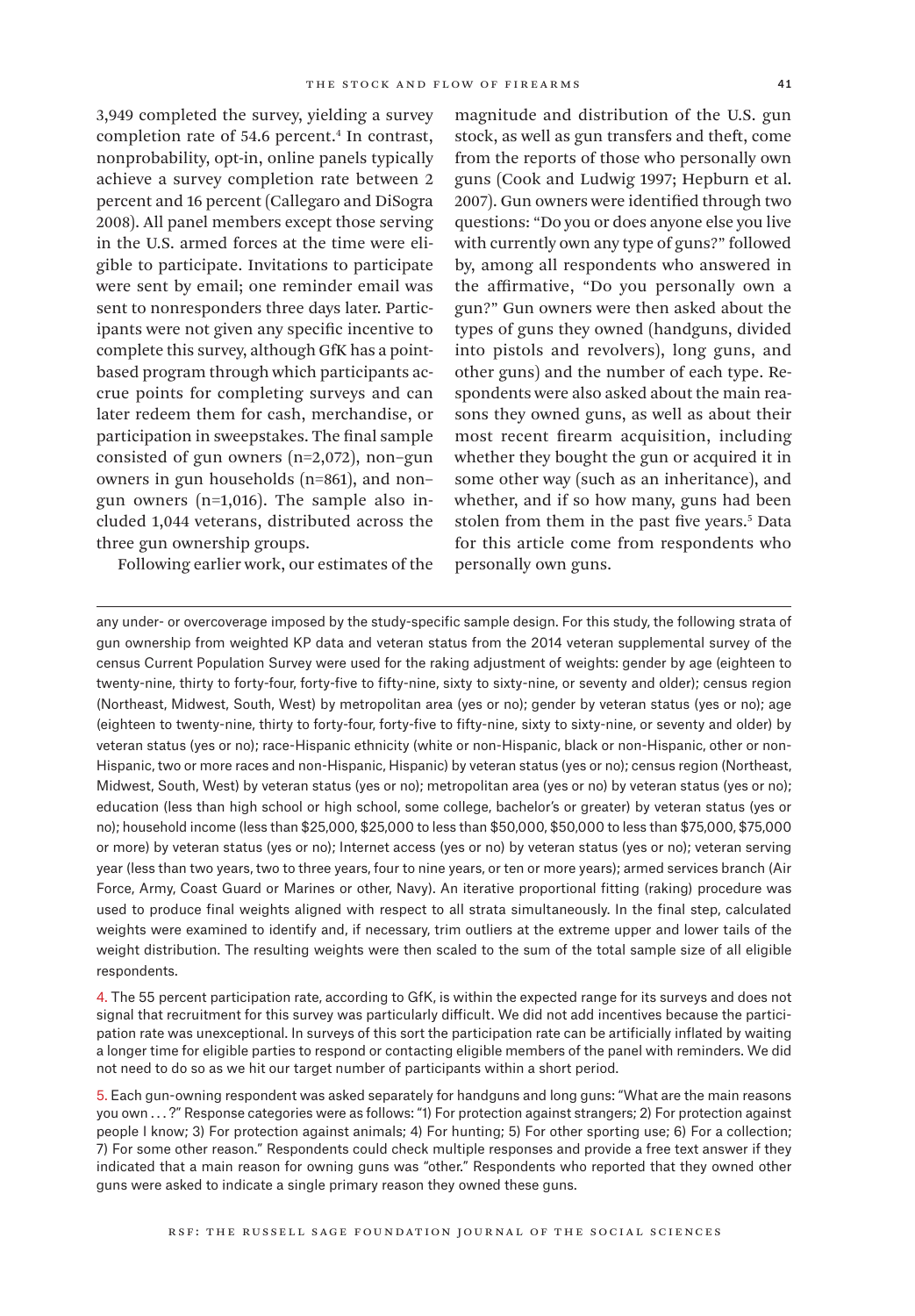3,949 completed the survey, yielding a survey completion rate of 54.6 percent.<sup>4</sup> In contrast, nonprobability, opt-in, online panels typically achieve a survey completion rate between 2 percent and 16 percent (Callegaro and DiSogra 2008). All panel members except those serving in the U.S. armed forces at the time were eligible to participate. Invitations to participate were sent by email; one reminder email was sent to nonresponders three days later. Participants were not given any specific incentive to complete this survey, although GfK has a pointbased program through which participants accrue points for completing surveys and can later redeem them for cash, merchandise, or participation in sweepstakes. The final sample consisted of gun owners (n=2,072), non–gun owners in gun households (n=861), and non– gun owners (n=1,016). The sample also included 1,044 veterans, distributed across the three gun ownership groups.

Following earlier work, our estimates of the

magnitude and distribution of the U.S. gun stock, as well as gun transfers and theft, come from the reports of those who personally own guns (Cook and Ludwig 1997; Hepburn et al. 2007). Gun owners were identified through two questions: "Do you or does anyone else you live with currently own any type of guns?" followed by, among all respondents who answered in the affirmative, "Do you personally own a gun?" Gun owners were then asked about the types of guns they owned (handguns, divided into pistols and revolvers), long guns, and other guns) and the number of each type. Respondents were also asked about the main reasons they owned guns, as well as about their most recent firearm acquisition, including whether they bought the gun or acquired it in some other way (such as an inheritance), and whether, and if so how many, guns had been stolen from them in the past five years.<sup>5</sup> Data for this article come from respondents who personally own guns.

any under- or overcoverage imposed by the study-specific sample design. For this study, the following strata of gun ownership from weighted KP data and veteran status from the 2014 veteran supplemental survey of the census Current Population Survey were used for the raking adjustment of weights: gender by age (eighteen to twenty-nine, thirty to forty-four, forty-five to fifty-nine, sixty to sixty-nine, or seventy and older); census region (Northeast, Midwest, South, West) by metropolitan area (yes or no); gender by veteran status (yes or no); age (eighteen to twenty-nine, thirty to forty-four, forty-five to fifty-nine, sixty to sixty-nine, or seventy and older) by veteran status (yes or no); race-Hispanic ethnicity (white or non-Hispanic, black or non-Hispanic, other or non-Hispanic, two or more races and non-Hispanic, Hispanic) by veteran status (yes or no); census region (Northeast, Midwest, South, West) by veteran status (yes or no); metropolitan area (yes or no) by veteran status (yes or no); education (less than high school or high school, some college, bachelor's or greater) by veteran status (yes or no); household income (less than \$25,000, \$25,000 to less than \$50,000, \$50,000 to less than \$75,000, \$75,000 or more) by veteran status (yes or no); Internet access (yes or no) by veteran status (yes or no); veteran serving year (less than two years, two to three years, four to nine years, or ten or more years); armed services branch (Air Force, Army, Coast Guard or Marines or other, Navy). An iterative proportional fitting (raking) procedure was used to produce final weights aligned with respect to all strata simultaneously. In the final step, calculated weights were examined to identify and, if necessary, trim outliers at the extreme upper and lower tails of the weight distribution. The resulting weights were then scaled to the sum of the total sample size of all eligible respondents.

4. The 55 percent participation rate, according to GfK, is within the expected range for its surveys and does not signal that recruitment for this survey was particularly difficult. We did not add incentives because the participation rate was unexceptional. In surveys of this sort the participation rate can be artificially inflated by waiting a longer time for eligible parties to respond or contacting eligible members of the panel with reminders. We did not need to do so as we hit our target number of participants within a short period.

5. Each gun-owning respondent was asked separately for handguns and long guns: "What are the main reasons you own . . . ?" Response categories were as follows: "1) For protection against strangers; 2) For protection against people I know; 3) For protection against animals; 4) For hunting; 5) For other sporting use; 6) For a collection; 7) For some other reason." Respondents could check multiple responses and provide a free text answer if they indicated that a main reason for owning guns was "other." Respondents who reported that they owned other guns were asked to indicate a single primary reason they owned these guns.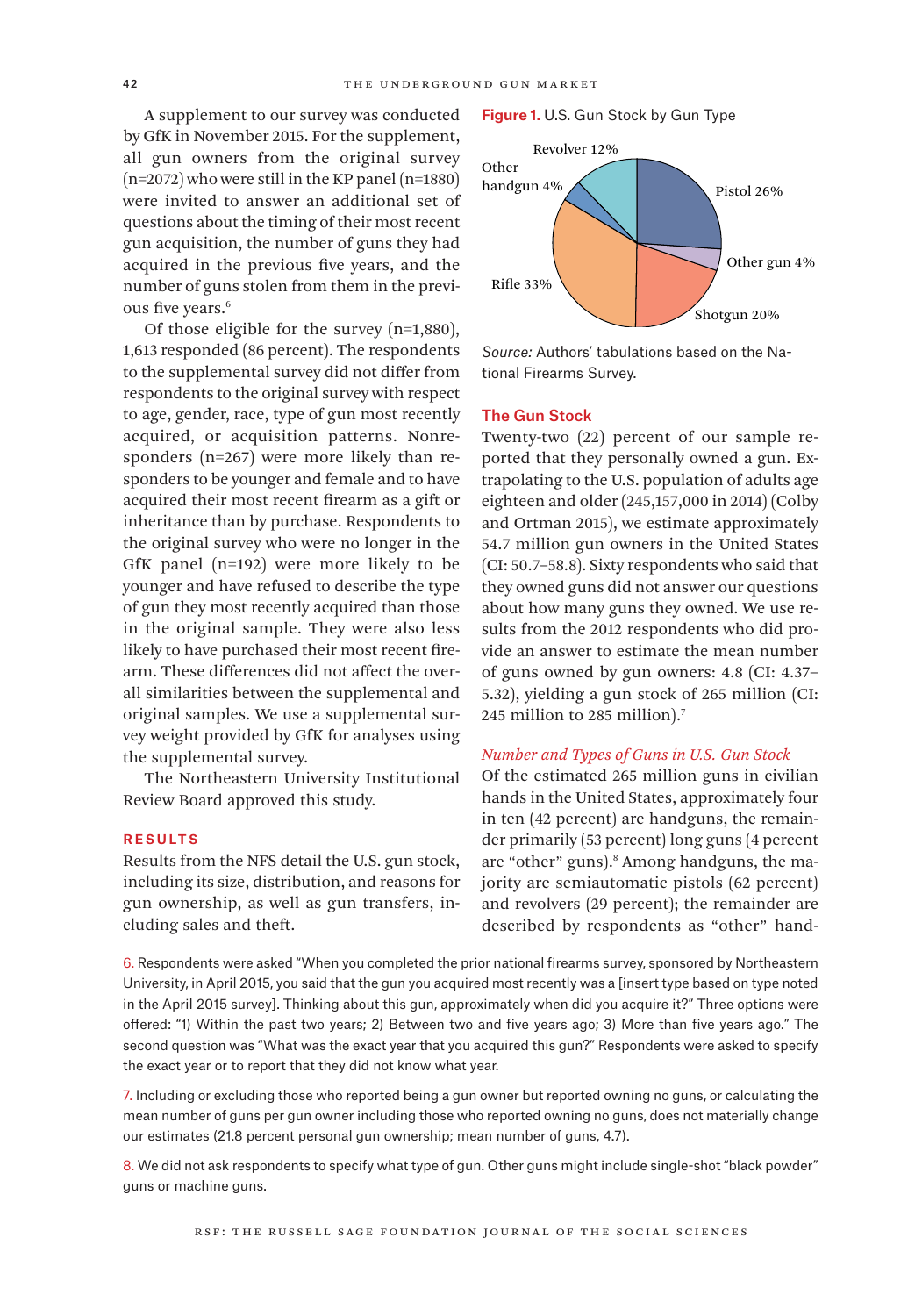A supplement to our survey was conducted by GfK in November 2015. For the supplement, all gun owners from the original survey (n=2072) who were still in the KP panel (n=1880) were invited to answer an additional set of questions about the timing of their most recent gun acquisition, the number of guns they had acquired in the previous five years, and the number of guns stolen from them in the previous five years.<sup>6</sup>

Of those eligible for the survey (n=1,880), 1,613 responded (86 percent). The respondents to the supplemental survey did not differ from respondents to the original survey with respect to age, gender, race, type of gun most recently acquired, or acquisition patterns. Nonresponders (n=267) were more likely than responders to be younger and female and to have acquired their most recent firearm as a gift or inheritance than by purchase. Respondents to the original survey who were no longer in the GfK panel (n=192) were more likely to be younger and have refused to describe the type of gun they most recently acquired than those in the original sample. They were also less likely to have purchased their most recent firearm. These differences did not affect the overall similarities between the supplemental and original samples. We use a supplemental survey weight provided by GfK for analyses using the supplemental survey.

The Northeastern University Institutional Review Board approved this study.

#### **RESULTS**

Results from the NFS detail the U.S. gun stock, including its size, distribution, and reasons for gun ownership, as well as gun transfers, including sales and theft.

#### **Figure 1.** U.S. Gun Stock by Gun Type



*Source:* Authors' tabulations based on the National Firearms Survey.

#### The Gun Stock

Twenty-two (22) percent of our sample reported that they personally owned a gun. Extrapolating to the U.S. population of adults age eighteen and older (245,157,000 in 2014) (Colby and Ortman 2015), we estimate approximately 54.7 million gun owners in the United States (CI: 50.7–58.8). Sixty respondents who said that they owned guns did not answer our questions about how many guns they owned. We use results from the 2012 respondents who did provide an answer to estimate the mean number of guns owned by gun owners: 4.8 (CI: 4.37– 5.32), yielding a gun stock of 265 million (CI: 245 million to 285 million).7

#### *Number and Types of Guns in U.S. Gun Stock*

Of the estimated 265 million guns in civilian hands in the United States, approximately four in ten (42 percent) are handguns, the remainder primarily (53 percent) long guns (4 percent are "other" guns).<sup>8</sup> Among handguns, the majority are semiautomatic pistols (62 percent) and revolvers (29 percent); the remainder are described by respondents as "other" hand-

6. Respondents were asked "When you completed the prior national firearms survey, sponsored by Northeastern University, in April 2015, you said that the gun you acquired most recently was a [insert type based on type noted in the April 2015 survey]. Thinking about this gun, approximately when did you acquire it?" Three options were offered: "1) Within the past two years; 2) Between two and five years ago; 3) More than five years ago." The second question was "What was the exact year that you acquired this gun?" Respondents were asked to specify the exact year or to report that they did not know what year.

7. Including or excluding those who reported being a gun owner but reported owning no guns, or calculating the mean number of guns per gun owner including those who reported owning no guns, does not materially change our estimates (21.8 percent personal gun ownership; mean number of guns, 4.7).

8. We did not ask respondents to specify what type of gun. Other guns might include single-shot "black powder" guns or machine guns.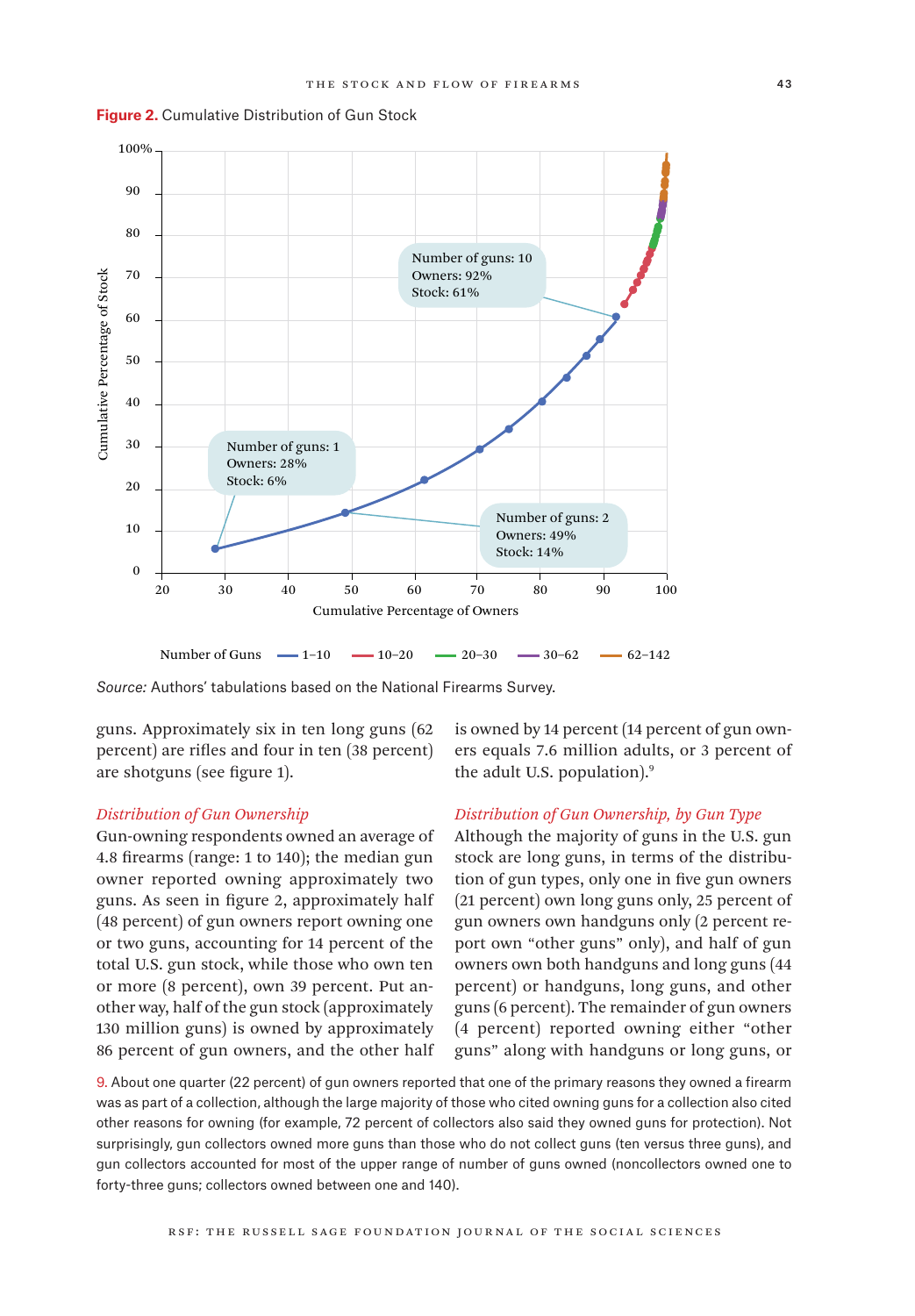



Number of Guns  $-1$ -10  $-10$  -20  $-20$  -30  $-30$  -62  $-62$  62-142

*Source:* Authors' tabulations based on the National Firearms Survey.

guns. Approximately six in ten long guns (62 percent) are rifles and four in ten (38 percent) are shotguns (see figure 1).

#### *Distribution of Gun Ownership*

Gun-owning respondents owned an average of 4.8 firearms (range: 1 to 140); the median gun owner reported owning approximately two guns. As seen in figure 2, approximately half (48 percent) of gun owners report owning one or two guns, accounting for 14 percent of the total U.S. gun stock, while those who own ten or more (8 percent), own 39 percent. Put another way, half of the gun stock (approximately 130 million guns) is owned by approximately 86 percent of gun owners, and the other half is owned by 14 percent (14 percent of gun owners equals 7.6 million adults, or 3 percent of the adult U.S. population).<sup>9</sup>

# *Distribution of Gun Ownership, by Gun Type*

Although the majority of guns in the U.S. gun stock are long guns, in terms of the distribution of gun types, only one in five gun owners (21 percent) own long guns only, 25 percent of gun owners own handguns only (2 percent report own "other guns" only), and half of gun owners own both handguns and long guns (44 percent) or handguns, long guns, and other guns (6 percent). The remainder of gun owners (4 percent) reported owning either "other guns" along with handguns or long guns, or

9. About one quarter (22 percent) of gun owners reported that one of the primary reasons they owned a firearm was as part of a collection, although the large majority of those who cited owning guns for a collection also cited other reasons for owning (for example, 72 percent of collectors also said they owned guns for protection). Not surprisingly, gun collectors owned more guns than those who do not collect guns (ten versus three guns), and gun collectors accounted for most of the upper range of number of guns owned (noncollectors owned one to forty-three guns; collectors owned between one and 140).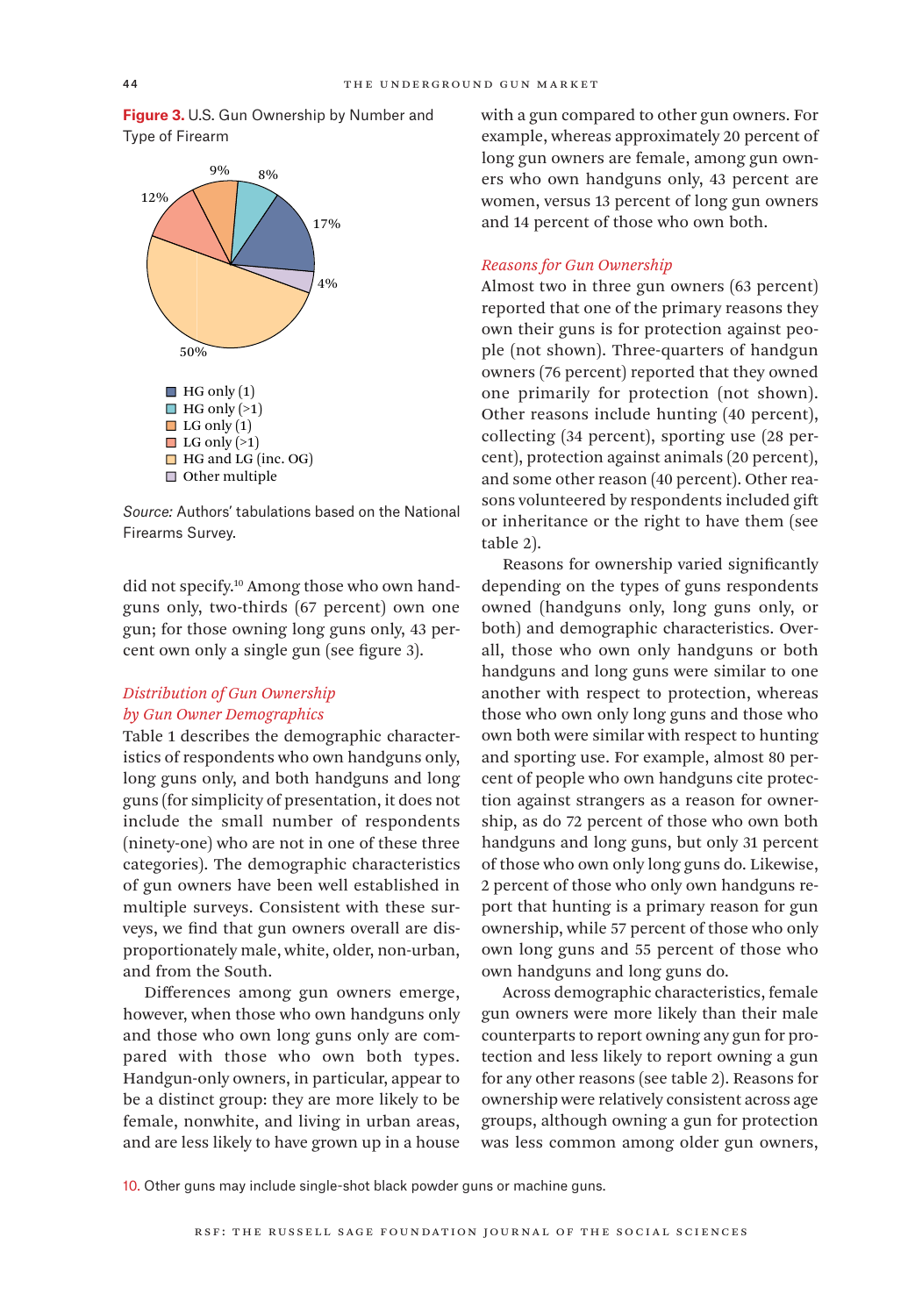**Figure 3.** U.S. Gun Ownership by Number and Type of Firearm



*Source:* Authors' tabulations based on the National Firearms Survey.

did not specify.<sup>10</sup> Among those who own handguns only, two-thirds (67 percent) own one gun; for those owning long guns only, 43 percent own only a single gun (see figure 3).

# *Distribution of Gun Ownership by Gun Owner Demographics*

Table 1 describes the demographic characteristics of respondents who own handguns only, long guns only, and both handguns and long guns (for simplicity of presentation, it does not include the small number of respondents (ninety-one) who are not in one of these three categories). The demographic characteristics of gun owners have been well established in multiple surveys. Consistent with these surveys, we find that gun owners overall are disproportionately male, white, older, non-urban, and from the South.

Differences among gun owners emerge, however, when those who own handguns only and those who own long guns only are compared with those who own both types. Handgun-only owners, in particular, appear to be a distinct group: they are more likely to be female, nonwhite, and living in urban areas, and are less likely to have grown up in a house

with a gun compared to other gun owners. For example, whereas approximately 20 percent of long gun owners are female, among gun owners who own handguns only, 43 percent are women, versus 13 percent of long gun owners and 14 percent of those who own both.

# *Reasons for Gun Ownership*

Almost two in three gun owners (63 percent) reported that one of the primary reasons they own their guns is for protection against people (not shown). Three-quarters of handgun owners (76 percent) reported that they owned one primarily for protection (not shown). Other reasons include hunting (40 percent), collecting (34 percent), sporting use (28 percent), protection against animals (20 percent), and some other reason (40 percent). Other reasons volunteered by respondents included gift or inheritance or the right to have them (see table 2).

Reasons for ownership varied significantly depending on the types of guns respondents owned (handguns only, long guns only, or both) and demographic characteristics. Overall, those who own only handguns or both handguns and long guns were similar to one another with respect to protection, whereas those who own only long guns and those who own both were similar with respect to hunting and sporting use. For example, almost 80 percent of people who own handguns cite protection against strangers as a reason for ownership, as do 72 percent of those who own both handguns and long guns, but only 31 percent of those who own only long guns do. Likewise, 2 percent of those who only own handguns report that hunting is a primary reason for gun ownership, while 57 percent of those who only own long guns and 55 percent of those who own handguns and long guns do.

Across demographic characteristics, female gun owners were more likely than their male counterparts to report owning any gun for protection and less likely to report owning a gun for any other reasons (see table 2). Reasons for ownership were relatively consistent across age groups, although owning a gun for protection was less common among older gun owners,

10. Other guns may include single-shot black powder guns or machine guns.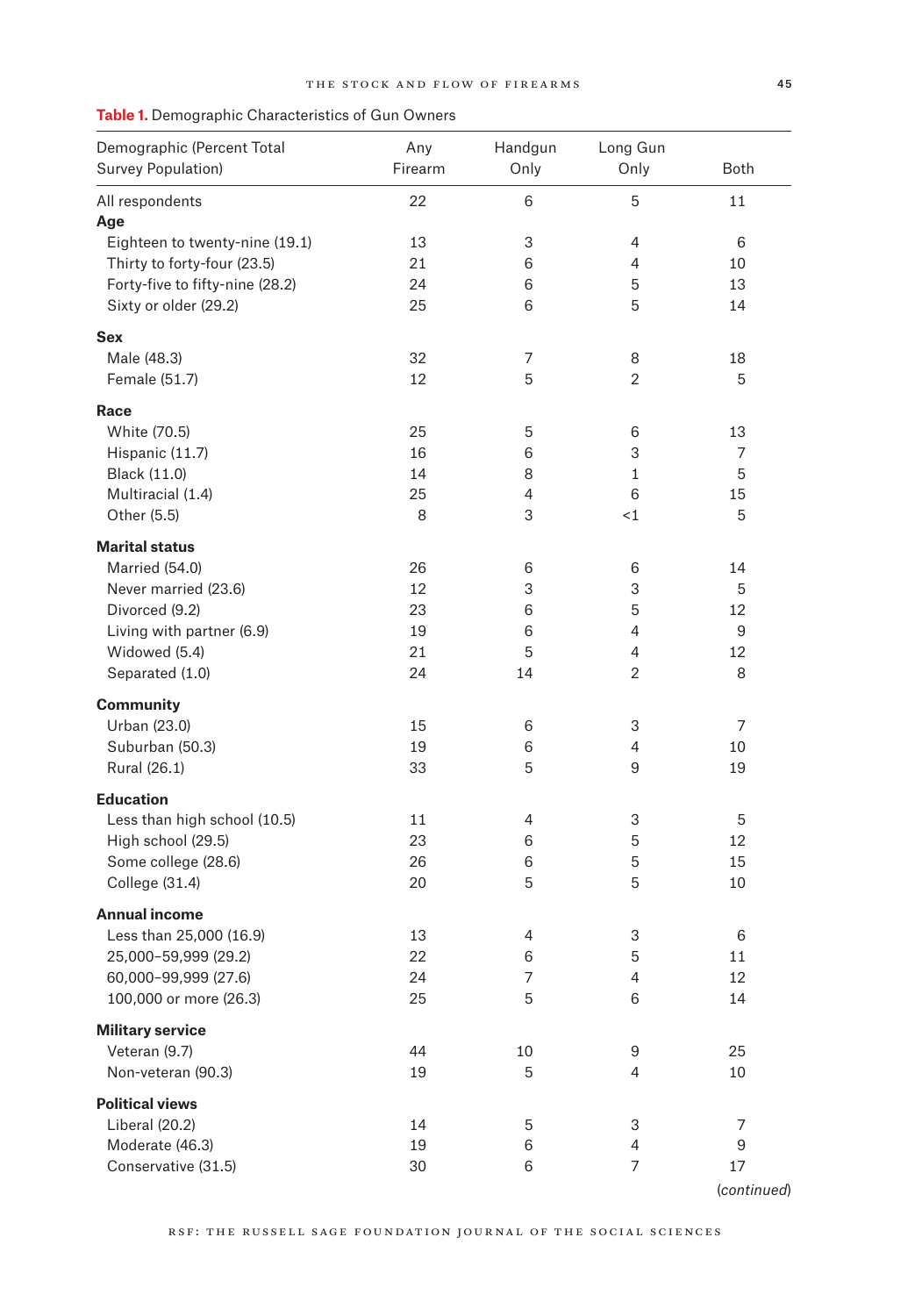| Demographic (Percent Total      | Any     | Handgun | Long Gun       |             |
|---------------------------------|---------|---------|----------------|-------------|
| <b>Survey Population)</b>       | Firearm | Only    | Only           | <b>Both</b> |
| All respondents                 | 22      | 6       | 5              | 11          |
| Age                             |         |         |                |             |
| Eighteen to twenty-nine (19.1)  | 13      | 3       | 4              | 6           |
| Thirty to forty-four (23.5)     | 21      | 6       | 4              | 10          |
| Forty-five to fifty-nine (28.2) | 24      | 6       | 5              | 13          |
| Sixty or older (29.2)           | 25      | 6       | 5              | 14          |
| Sex                             |         |         |                |             |
| Male (48.3)                     | 32      | 7       | 8              | 18          |
| Female (51.7)                   | 12      | 5       | $\overline{2}$ | 5           |
| Race                            |         |         |                |             |
| White (70.5)                    | 25      | 5       | 6              | 13          |
| Hispanic (11.7)                 | 16      | 6       | 3              | 7           |
| Black (11.0)                    | 14      | 8       | $\mathbf 1$    | 5           |
| Multiracial (1.4)               | 25      | 4       | 6              | 15          |
| Other (5.5)                     | 8       | 3       | $\leq$ 1       | 5           |
| <b>Marital status</b>           |         |         |                |             |
| Married (54.0)                  | 26      | 6       | 6              | 14          |
| Never married (23.6)            | 12      | 3       | 3              | 5           |
| Divorced (9.2)                  | 23      | 6       | 5              | 12          |
| Living with partner (6.9)       | 19      | 6       | 4              | 9           |
| Widowed (5.4)                   | 21      | 5       | 4              | 12          |
| Separated (1.0)                 | 24      | 14      | $\overline{2}$ | 8           |
| <b>Community</b>                |         |         |                |             |
| Urban (23.0)                    | 15      | 6       | 3              | 7           |
| Suburban (50.3)                 | 19      | 6       | 4              | 10          |
| Rural (26.1)                    | 33      | 5       | 9              | 19          |
| <b>Education</b>                |         |         |                |             |
| Less than high school (10.5)    | 11      | 4       | 3              | 5           |
| High school (29.5)              | 23      | 6       | 5              | 12          |
| Some college (28.6)             | 26      | 6       | 5              | 15          |
| College (31.4)                  | 20      | 5       | 5              | 10          |
| <b>Annual income</b>            |         |         |                |             |
| Less than 25,000 (16.9)         | 13      | 4       | 3              | $\,6\,$     |
| 25,000-59,999 (29.2)            | 22      | 6       | 5              | 11          |
| 60,000-99,999 (27.6)            | 24      | 7       | 4              | 12          |
| 100,000 or more (26.3)          | 25      | 5       | 6              | 14          |
| <b>Military service</b>         |         |         |                |             |
| Veteran (9.7)                   | 44      | 10      | 9              | 25          |
| Non-veteran (90.3)              | 19      | 5       | 4              | 10          |
| <b>Political views</b>          |         |         |                |             |
| Liberal (20.2)                  | 14      | 5       | 3              | 7           |
| Moderate (46.3)                 | 19      | 6       | 4              | 9           |
| Conservative (31.5)             | 30      | 6       | 7              | 17          |

**Table 1.** Demographic Characteristics of Gun Owners

(*continued*)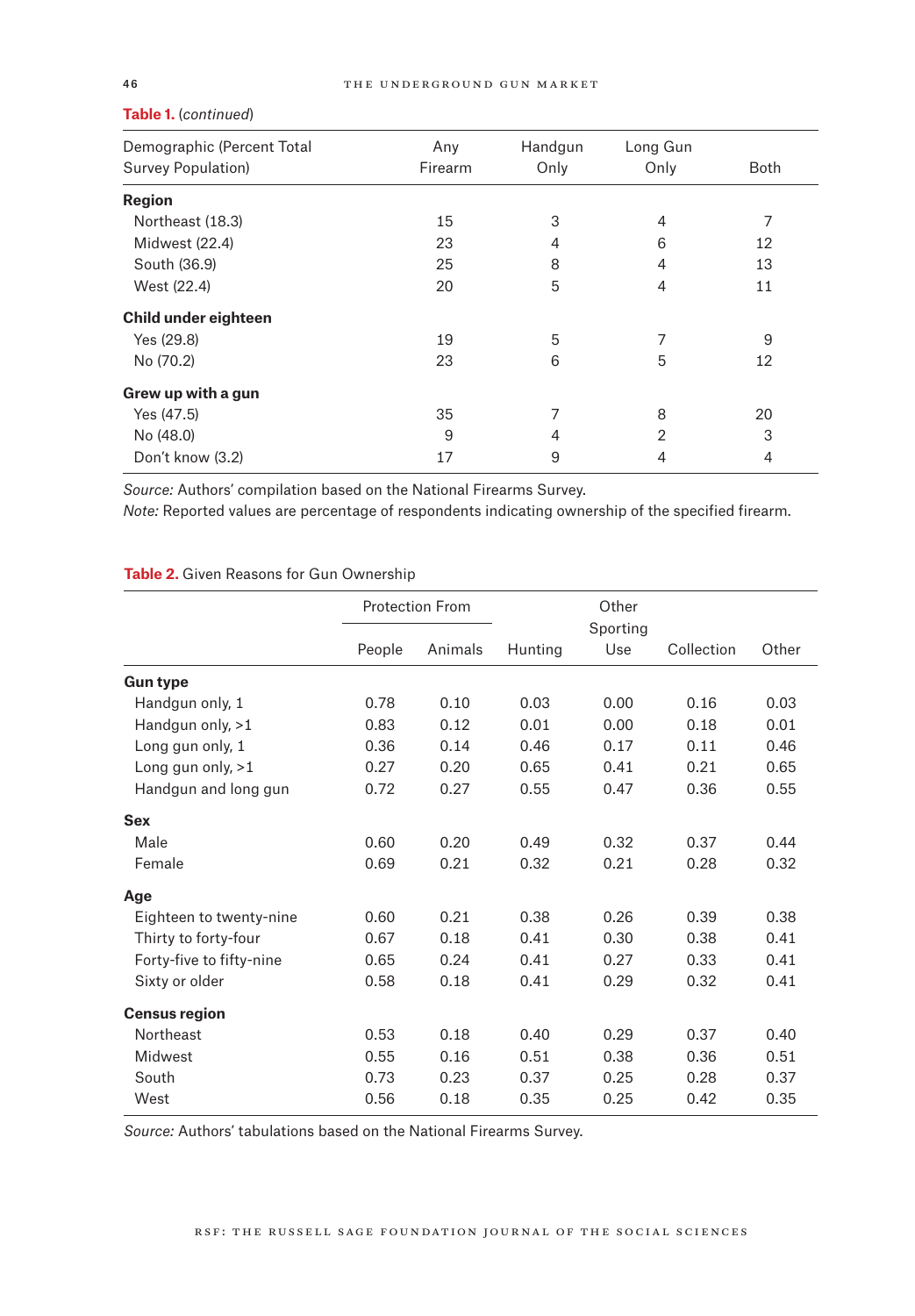| Any     | Handgun | Long Gun |             |
|---------|---------|----------|-------------|
| Firearm | Only    | Only     | <b>Both</b> |
|         |         |          |             |
| 15      | 3       | 4        | 7           |
| 23      | 4       | 6        | 12          |
| 25      | 8       | 4        | 13          |
| 20      | 5       | 4        | 11          |
|         |         |          |             |
| 19      | 5       | 7        | 9           |
| 23      | 6       | 5        | 12          |
|         |         |          |             |
| 35      | 7       | 8        | 20          |
| 9       | 4       | 2        | 3           |
| 17      | 9       | 4        | 4           |
|         |         |          |             |

#### **Table 1.** (*continued*)

*Source:* Authors' compilation based on the National Firearms Survey.

*Note:* Reported values are percentage of respondents indicating ownership of the specified firearm.

# **Table 2.** Given Reasons for Gun Ownership

|                          |        | <b>Protection From</b> |         | Other<br>Sporting |            |       |
|--------------------------|--------|------------------------|---------|-------------------|------------|-------|
|                          | People | Animals                | Hunting | Use               | Collection | Other |
| <b>Gun type</b>          |        |                        |         |                   |            |       |
| Handgun only, 1          | 0.78   | 0.10                   | 0.03    | 0.00              | 0.16       | 0.03  |
| Handgun only, >1         | 0.83   | 0.12                   | 0.01    | 0.00              | 0.18       | 0.01  |
| Long gun only, 1         | 0.36   | 0.14                   | 0.46    | 0.17              | 0.11       | 0.46  |
| Long gun only, $>1$      | 0.27   | 0.20                   | 0.65    | 0.41              | 0.21       | 0.65  |
| Handgun and long gun     | 0.72   | 0.27                   | 0.55    | 0.47              | 0.36       | 0.55  |
| <b>Sex</b>               |        |                        |         |                   |            |       |
| Male                     | 0.60   | 0.20                   | 0.49    | 0.32              | 0.37       | 0.44  |
| Female                   | 0.69   | 0.21                   | 0.32    | 0.21              | 0.28       | 0.32  |
| Age                      |        |                        |         |                   |            |       |
| Eighteen to twenty-nine  | 0.60   | 0.21                   | 0.38    | 0.26              | 0.39       | 0.38  |
| Thirty to forty-four     | 0.67   | 0.18                   | 0.41    | 0.30              | 0.38       | 0.41  |
| Forty-five to fifty-nine | 0.65   | 0.24                   | 0.41    | 0.27              | 0.33       | 0.41  |
| Sixty or older           | 0.58   | 0.18                   | 0.41    | 0.29              | 0.32       | 0.41  |
| <b>Census region</b>     |        |                        |         |                   |            |       |
| Northeast                | 0.53   | 0.18                   | 0.40    | 0.29              | 0.37       | 0.40  |
| Midwest                  | 0.55   | 0.16                   | 0.51    | 0.38              | 0.36       | 0.51  |
| South                    | 0.73   | 0.23                   | 0.37    | 0.25              | 0.28       | 0.37  |
| West                     | 0.56   | 0.18                   | 0.35    | 0.25              | 0.42       | 0.35  |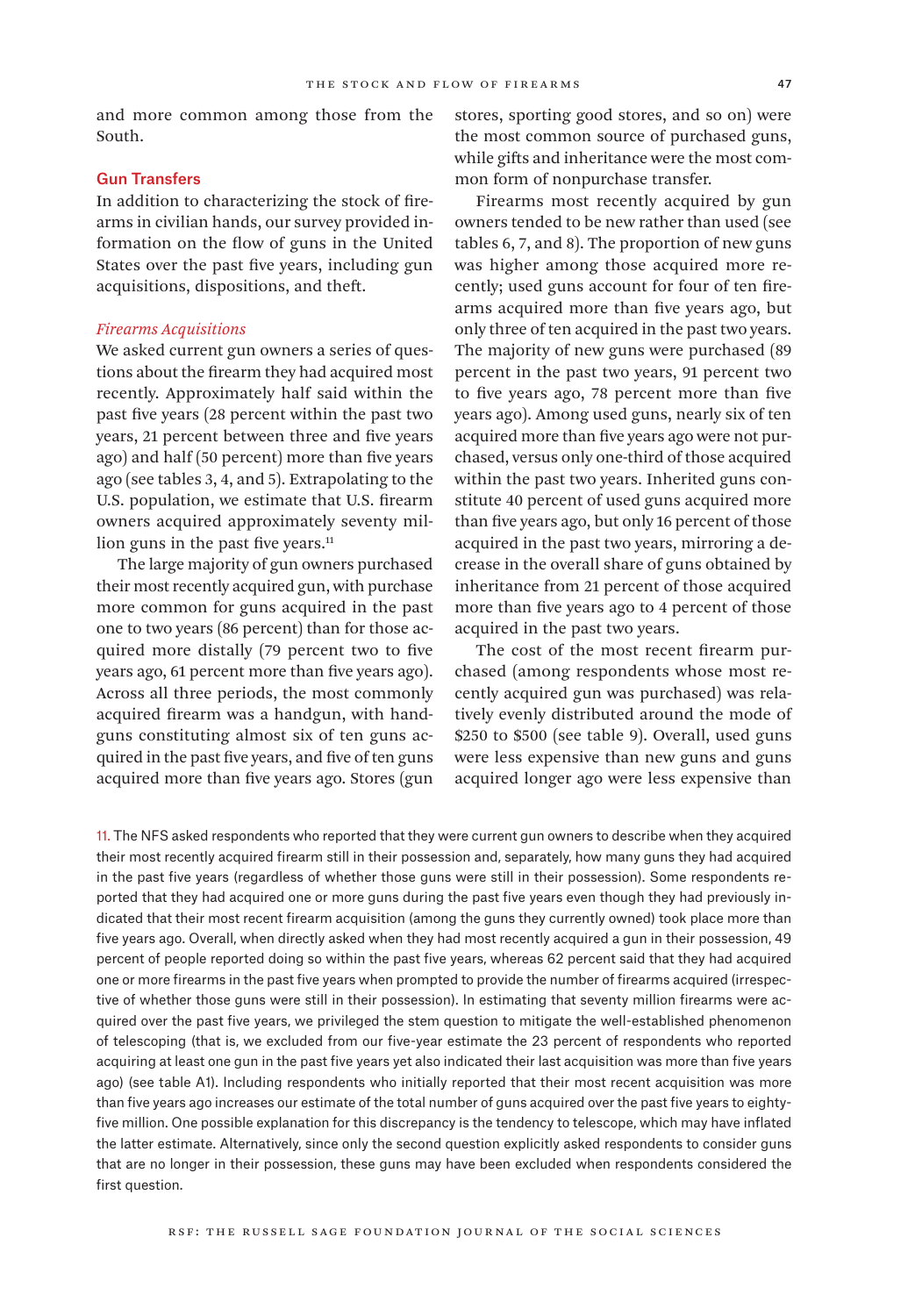and more common among those from the South.

# Gun Transfers

In addition to characterizing the stock of firearms in civilian hands, our survey provided information on the flow of guns in the United States over the past five years, including gun acquisitions, dispositions, and theft.

#### *Firearms Acquisitions*

We asked current gun owners a series of questions about the firearm they had acquired most recently. Approximately half said within the past five years (28 percent within the past two years, 21 percent between three and five years ago) and half (50 percent) more than five years ago (see tables 3, 4, and 5). Extrapolating to the U.S. population, we estimate that U.S. firearm owners acquired approximately seventy million guns in the past five years.<sup>11</sup>

The large majority of gun owners purchased their most recently acquired gun, with purchase more common for guns acquired in the past one to two years (86 percent) than for those acquired more distally (79 percent two to five years ago, 61 percent more than five years ago). Across all three periods, the most commonly acquired firearm was a handgun, with handguns constituting almost six of ten guns acquired in the past five years, and five of ten guns acquired more than five years ago. Stores (gun

stores, sporting good stores, and so on) were the most common source of purchased guns, while gifts and inheritance were the most common form of nonpurchase transfer.

Firearms most recently acquired by gun owners tended to be new rather than used (see tables 6, 7, and 8). The proportion of new guns was higher among those acquired more recently; used guns account for four of ten firearms acquired more than five years ago, but only three of ten acquired in the past two years. The majority of new guns were purchased (89 percent in the past two years, 91 percent two to five years ago, 78 percent more than five years ago). Among used guns, nearly six of ten acquired more than five years ago were not purchased, versus only one-third of those acquired within the past two years. Inherited guns constitute 40 percent of used guns acquired more than five years ago, but only 16 percent of those acquired in the past two years, mirroring a decrease in the overall share of guns obtained by inheritance from 21 percent of those acquired more than five years ago to 4 percent of those acquired in the past two years.

The cost of the most recent firearm purchased (among respondents whose most recently acquired gun was purchased) was relatively evenly distributed around the mode of \$250 to \$500 (see table 9). Overall, used guns were less expensive than new guns and guns acquired longer ago were less expensive than

11. The NFS asked respondents who reported that they were current gun owners to describe when they acquired their most recently acquired firearm still in their possession and, separately, how many guns they had acquired in the past five years (regardless of whether those guns were still in their possession). Some respondents reported that they had acquired one or more guns during the past five years even though they had previously indicated that their most recent firearm acquisition (among the guns they currently owned) took place more than five years ago. Overall, when directly asked when they had most recently acquired a gun in their possession, 49 percent of people reported doing so within the past five years, whereas 62 percent said that they had acquired one or more firearms in the past five years when prompted to provide the number of firearms acquired (irrespective of whether those guns were still in their possession). In estimating that seventy million firearms were acquired over the past five years, we privileged the stem question to mitigate the well-established phenomenon of telescoping (that is, we excluded from our five-year estimate the 23 percent of respondents who reported acquiring at least one gun in the past five years yet also indicated their last acquisition was more than five years ago) (see table A1). Including respondents who initially reported that their most recent acquisition was more than five years ago increases our estimate of the total number of guns acquired over the past five years to eightyfive million. One possible explanation for this discrepancy is the tendency to telescope, which may have inflated the latter estimate. Alternatively, since only the second question explicitly asked respondents to consider guns that are no longer in their possession, these guns may have been excluded when respondents considered the first question.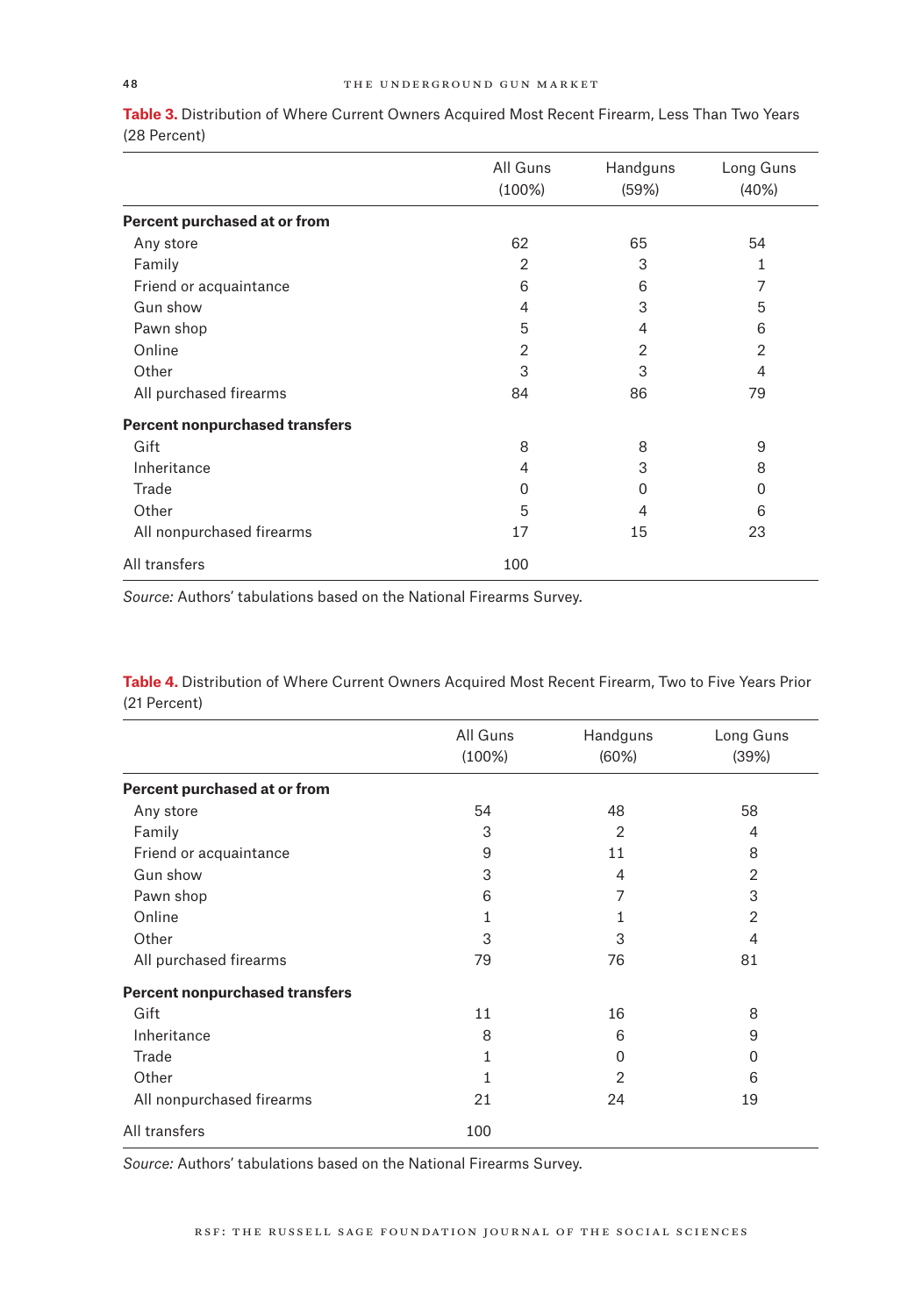|                                       | All Guns  | Handguns | Long Guns |
|---------------------------------------|-----------|----------|-----------|
|                                       | $(100\%)$ | (59%)    | (40%)     |
| Percent purchased at or from          |           |          |           |
| Any store                             | 62        | 65       | 54        |
| Family                                | 2         | 3        | 1         |
| Friend or acquaintance                | 6         | 6        | 7         |
| Gun show                              | 4         | 3        | 5         |
| Pawn shop                             | 5         | 4        | 6         |
| Online                                | 2         | 2        | 2         |
| Other                                 | 3         | 3        | 4         |
| All purchased firearms                | 84        | 86       | 79        |
| <b>Percent nonpurchased transfers</b> |           |          |           |
| Gift                                  | 8         | 8        | 9         |
| Inheritance                           | 4         | 3        | 8         |
| Trade                                 | 0         | Ω        | $\Omega$  |
| Other                                 | 5         | 4        | 6         |
| All nonpurchased firearms             | 17        | 15       | 23        |
| All transfers                         | 100       |          |           |

**Table 3.** Distribution of Where Current Owners Acquired Most Recent Firearm, Less Than Two Years (28 Percent)

*Source:* Authors' tabulations based on the National Firearms Survey.

**Table 4.** Distribution of Where Current Owners Acquired Most Recent Firearm, Two to Five Years Prior (21 Percent)

|                                       | All Guns<br>$(100\%)$ | Handguns<br>(60%) | Long Guns<br>(39%) |
|---------------------------------------|-----------------------|-------------------|--------------------|
| Percent purchased at or from          |                       |                   |                    |
| Any store                             | 54                    | 48                | 58                 |
| Family                                | 3                     | 2                 | 4                  |
| Friend or acquaintance                | 9                     | 11                | 8                  |
| Gun show                              | 3                     | 4                 | 2                  |
| Pawn shop                             | 6                     | 7                 | 3                  |
| Online                                | 1                     |                   | 2                  |
| Other                                 | 3                     | 3                 | 4                  |
| All purchased firearms                | 79                    | 76                | 81                 |
| <b>Percent nonpurchased transfers</b> |                       |                   |                    |
| Gift                                  | 11                    | 16                | 8                  |
| Inheritance                           | 8                     | 6                 | 9                  |
| Trade                                 | 1                     | O                 | 0                  |
| Other                                 |                       | 2                 | 6                  |
| All nonpurchased firearms             | 21                    | 24                | 19                 |
| All transfers                         | 100                   |                   |                    |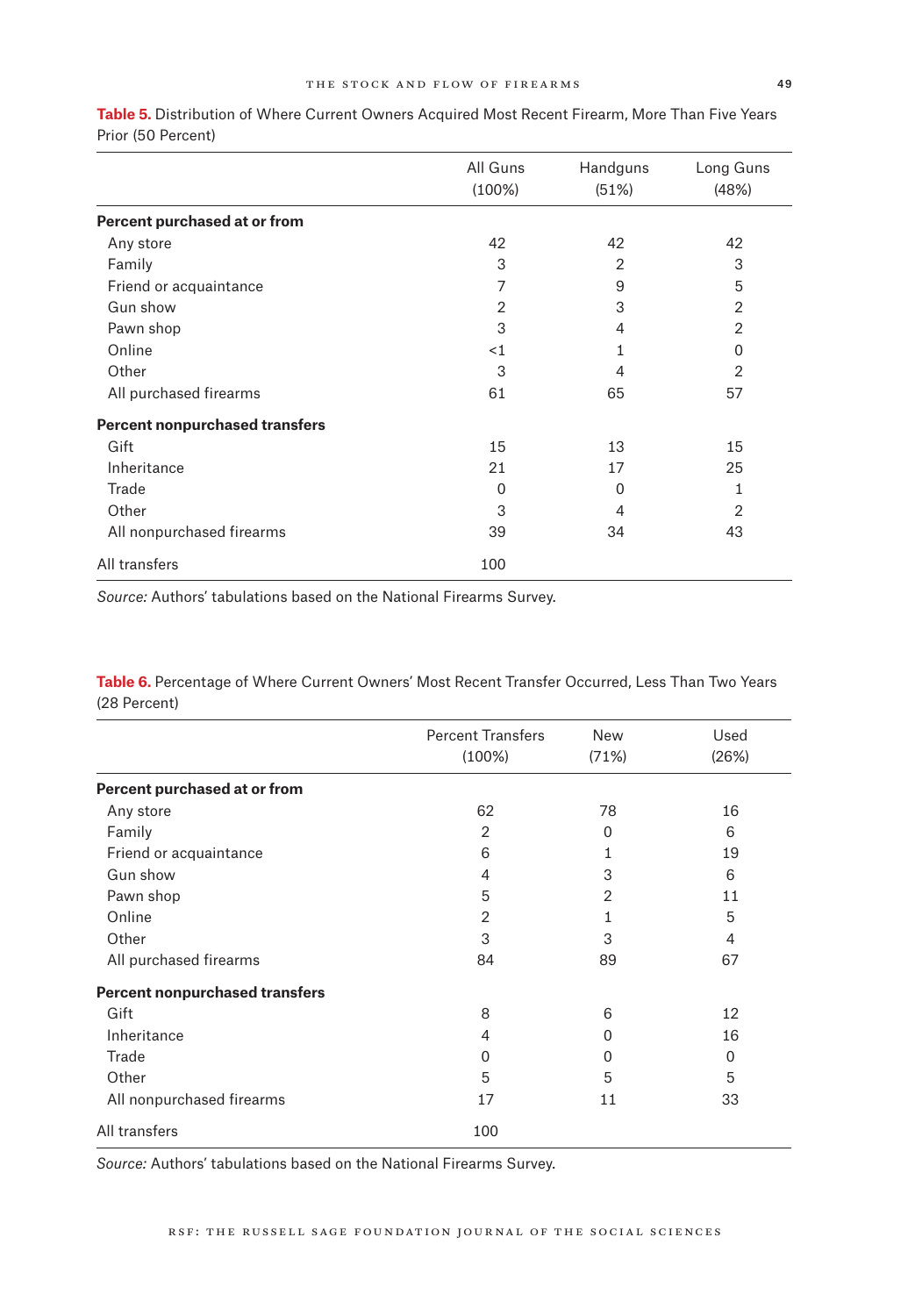|                                       | All Guns       | Handguns | Long Guns |
|---------------------------------------|----------------|----------|-----------|
|                                       | $(100\%)$      | (51%)    | (48%)     |
| Percent purchased at or from          |                |          |           |
| Any store                             | 42             | 42       | 42        |
| Family                                | 3              | 2        | 3         |
| Friend or acquaintance                | 7              | 9        | 5         |
| Gun show                              | $\overline{2}$ | 3        | 2         |
| Pawn shop                             | 3              | 4        | 2         |
| Online                                | ${<}1$         | 1        | 0         |
| Other                                 | 3              | 4        | 2         |
| All purchased firearms                | 61             | 65       | 57        |
| <b>Percent nonpurchased transfers</b> |                |          |           |
| Gift                                  | 15             | 13       | 15        |
| Inheritance                           | 21             | 17       | 25        |
| Trade                                 | $\Omega$       | 0        | 1         |
| Other                                 | 3              | 4        | 2         |
| All nonpurchased firearms             | 39             | 34       | 43        |
| All transfers                         | 100            |          |           |

**Table 5.** Distribution of Where Current Owners Acquired Most Recent Firearm, More Than Five Years Prior (50 Percent)

*Source:* Authors' tabulations based on the National Firearms Survey.

**Table 6.** Percentage of Where Current Owners' Most Recent Transfer Occurred, Less Than Two Years (28 Percent)

|                                       | <b>Percent Transfers</b> | <b>New</b> | Used  |
|---------------------------------------|--------------------------|------------|-------|
|                                       | $(100\%)$                | (71%)      | (26%) |
| Percent purchased at or from          |                          |            |       |
| Any store                             | 62                       | 78         | 16    |
| Family                                | 2                        | $\Omega$   | 6     |
| Friend or acquaintance                | 6                        | 1          | 19    |
| Gun show                              | 4                        | 3          | 6     |
| Pawn shop                             | 5                        | 2          | 11    |
| Online                                | 2                        | 1          | 5     |
| Other                                 | 3                        | 3          | 4     |
| All purchased firearms                | 84                       | 89         | 67    |
| <b>Percent nonpurchased transfers</b> |                          |            |       |
| Gift                                  | 8                        | 6          | 12    |
| Inheritance                           | 4                        | 0          | 16    |
| Trade                                 | 0                        | 0          | 0     |
| Other                                 | 5                        | 5          | 5     |
| All nonpurchased firearms             | 17                       | 11         | 33    |
| All transfers                         | 100                      |            |       |
|                                       |                          |            |       |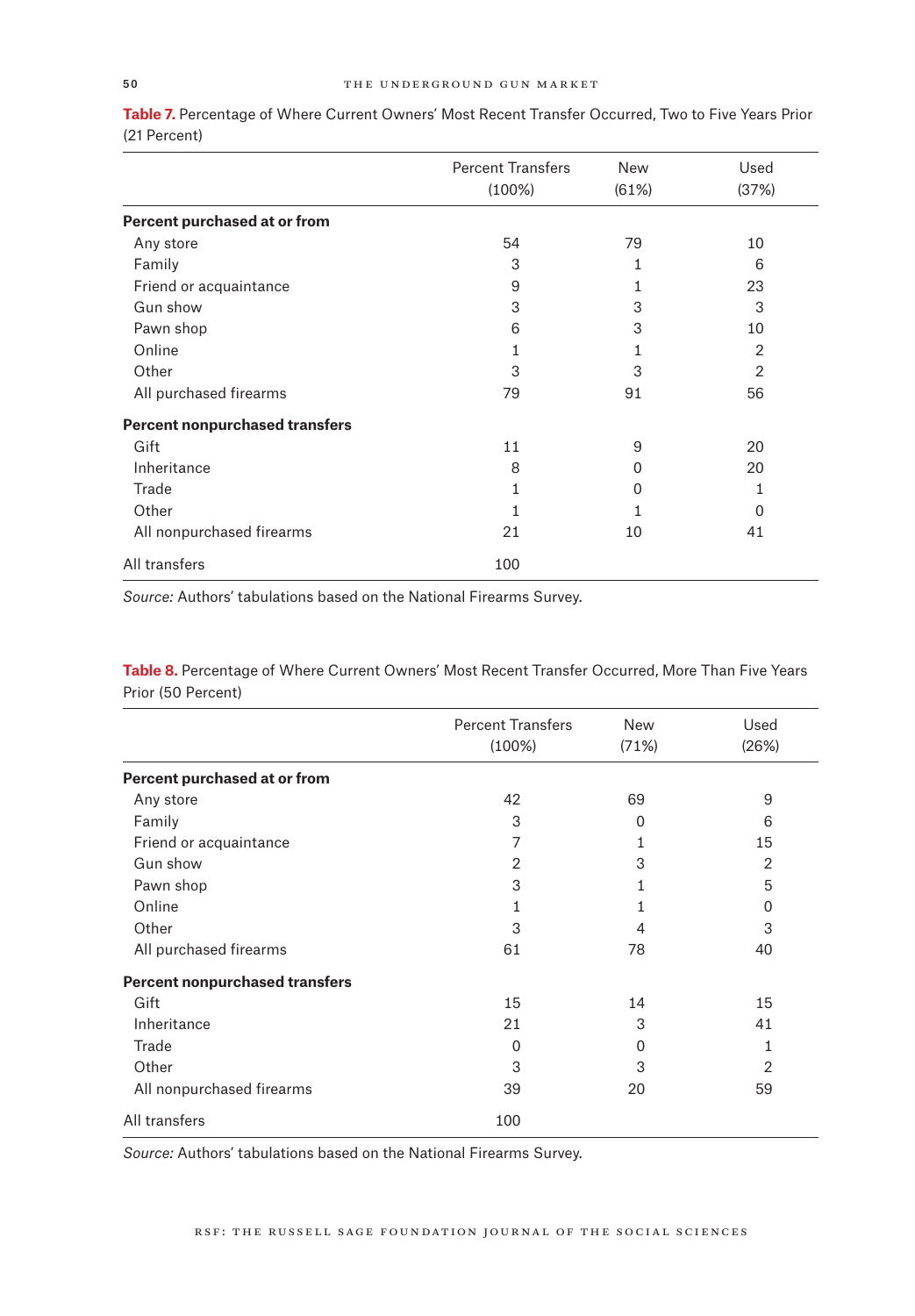|                                       | <b>Percent Transfers</b> | <b>New</b> | Used           |
|---------------------------------------|--------------------------|------------|----------------|
|                                       | $(100\%)$                | (61%)      | (37%)          |
| Percent purchased at or from          |                          |            |                |
| Any store                             | 54                       | 79         | 10             |
| Family                                | 3                        | 1          | 6              |
| Friend or acquaintance                | 9                        | 1          | 23             |
| Gun show                              | 3                        | 3          | 3              |
| Pawn shop                             | 6                        | 3          | 10             |
| Online                                | 1                        |            | $\overline{2}$ |
| Other                                 | 3                        | 3          | 2              |
| All purchased firearms                | 79                       | 91         | 56             |
| <b>Percent nonpurchased transfers</b> |                          |            |                |
| Gift                                  | 11                       | 9          | 20             |
| Inheritance                           | 8                        | 0          | 20             |
| Trade                                 | 1                        | 0          | 1              |
| Other                                 | 1                        | 1          | $\Omega$       |
| All nonpurchased firearms             | 21                       | 10         | 41             |
| All transfers                         | 100                      |            |                |

**Table 7.** Percentage of Where Current Owners' Most Recent Transfer Occurred, Two to Five Years Prior (21 Percent)

*Source:* Authors' tabulations based on the National Firearms Survey.

**Table 8.** Percentage of Where Current Owners' Most Recent Transfer Occurred, More Than Five Years Prior (50 Percent)

|                                       | <b>Percent Transfers</b> | <b>New</b>   | Used           |
|---------------------------------------|--------------------------|--------------|----------------|
|                                       | $(100\%)$                | (71%)        | (26%)          |
| Percent purchased at or from          |                          |              |                |
| Any store                             | 42                       | 69           | 9              |
| Family                                | 3                        | $\Omega$     | 6              |
| Friend or acquaintance                | 7                        |              | 15             |
| Gun show                              | $\overline{2}$           | 3            | $\overline{2}$ |
| Pawn shop                             | 3                        |              | 5              |
| Online                                | 1                        |              | 0              |
| Other                                 | 3                        | 4            | 3              |
| All purchased firearms                | 61                       | 78           | 40             |
| <b>Percent nonpurchased transfers</b> |                          |              |                |
| Gift                                  | 15                       | 14           | 15             |
| Inheritance                           | 21                       | 3            | 41             |
| Trade                                 | 0                        | <sup>0</sup> | 1              |
| Other                                 | 3                        | 3            | 2              |
| All nonpurchased firearms             | 39                       | 20           | 59             |
| All transfers                         | 100                      |              |                |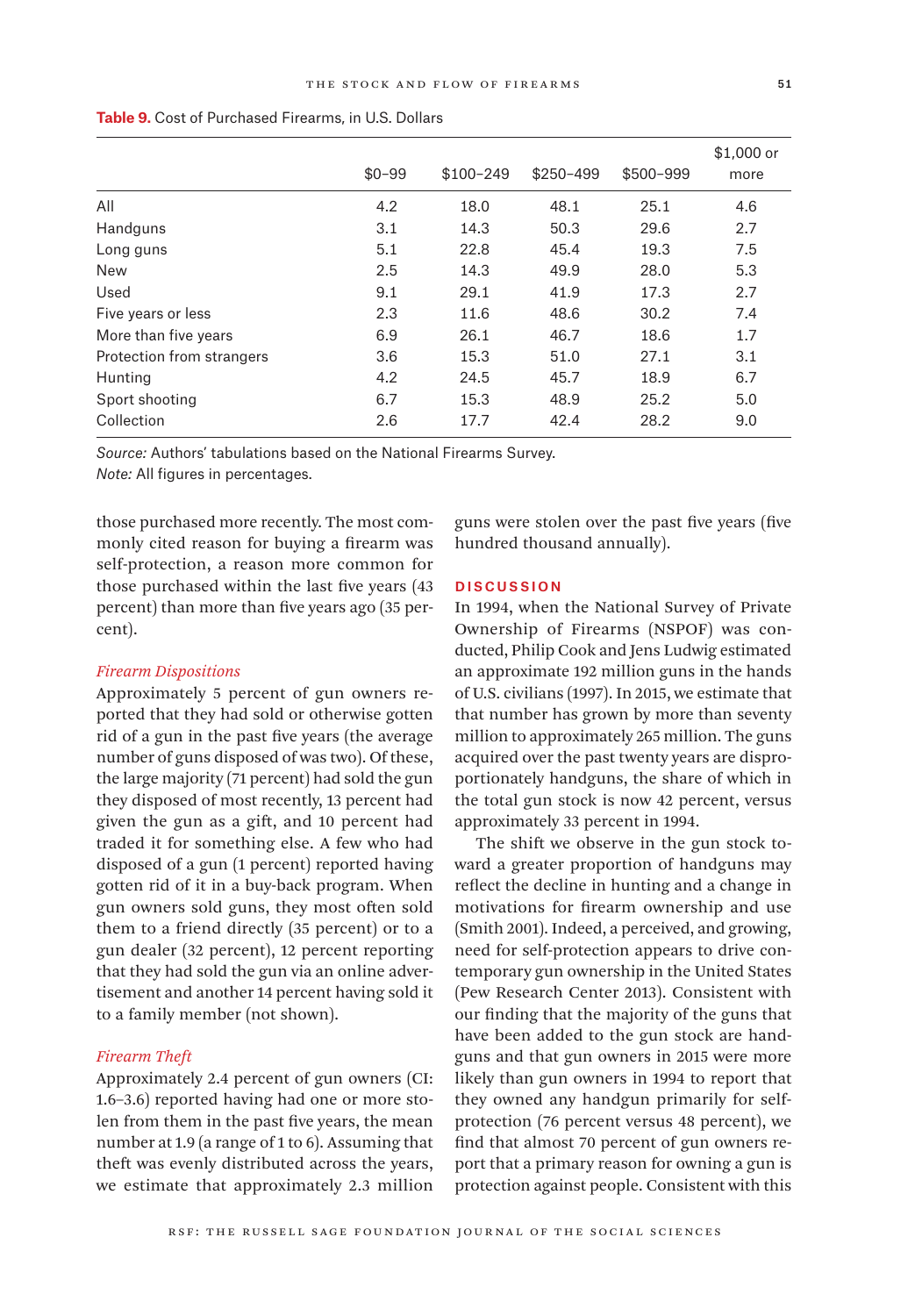|                           | $$0 - 99$ | $$100-249$ | $$250 - 499$ | \$500-999 | $$1,000$ or<br>more |
|---------------------------|-----------|------------|--------------|-----------|---------------------|
| All                       |           |            | 48.1         | 25.1      |                     |
|                           | 4.2       | 18.0       |              |           | 4.6                 |
| Handguns                  | 3.1       | 14.3       | 50.3         | 29.6      | 2.7                 |
| Long guns                 | 5.1       | 22.8       | 45.4         | 19.3      | 7.5                 |
| <b>New</b>                | 2.5       | 14.3       | 49.9         | 28.0      | 5.3                 |
| Used                      | 9.1       | 29.1       | 41.9         | 17.3      | 2.7                 |
| Five years or less        | 2.3       | 11.6       | 48.6         | 30.2      | 7.4                 |
| More than five years      | 6.9       | 26.1       | 46.7         | 18.6      | 1.7                 |
| Protection from strangers | 3.6       | 15.3       | 51.0         | 27.1      | 3.1                 |
| Hunting                   | 4.2       | 24.5       | 45.7         | 18.9      | 6.7                 |
| Sport shooting            | 6.7       | 15.3       | 48.9         | 25.2      | 5.0                 |
| Collection                | 2.6       | 17.7       | 42.4         | 28.2      | 9.0                 |

**Table 9.** Cost of Purchased Firearms, in U.S. Dollars

*Source:* Authors' tabulations based on the National Firearms Survey.

*Note:* All figures in percentages.

those purchased more recently. The most commonly cited reason for buying a firearm was self-protection, a reason more common for those purchased within the last five years (43 percent) than more than five years ago (35 percent).

# *Firearm Dispositions*

Approximately 5 percent of gun owners reported that they had sold or otherwise gotten rid of a gun in the past five years (the average number of guns disposed of was two). Of these, the large majority (71 percent) had sold the gun they disposed of most recently, 13 percent had given the gun as a gift, and 10 percent had traded it for something else. A few who had disposed of a gun (1 percent) reported having gotten rid of it in a buy-back program. When gun owners sold guns, they most often sold them to a friend directly (35 percent) or to a gun dealer (32 percent), 12 percent reporting that they had sold the gun via an online advertisement and another 14 percent having sold it to a family member (not shown).

## *Firearm Theft*

Approximately 2.4 percent of gun owners (CI: 1.6–3.6) reported having had one or more stolen from them in the past five years, the mean number at 1.9 (a range of 1 to 6). Assuming that theft was evenly distributed across the years, we estimate that approximately 2.3 million

guns were stolen over the past five years (five hundred thousand annually).

# Discussion

In 1994, when the National Survey of Private Ownership of Firearms (NSPOF) was conducted, Philip Cook and Jens Ludwig estimated an approximate 192 million guns in the hands of U.S. civilians (1997). In 2015, we estimate that that number has grown by more than seventy million to approximately 265 million. The guns acquired over the past twenty years are disproportionately handguns, the share of which in the total gun stock is now 42 percent, versus approximately 33 percent in 1994.

The shift we observe in the gun stock toward a greater proportion of handguns may reflect the decline in hunting and a change in motivations for firearm ownership and use (Smith 2001). Indeed, a perceived, and growing, need for self-protection appears to drive contemporary gun ownership in the United States (Pew Research Center 2013). Consistent with our finding that the majority of the guns that have been added to the gun stock are handguns and that gun owners in 2015 were more likely than gun owners in 1994 to report that they owned any handgun primarily for selfprotection (76 percent versus 48 percent), we find that almost 70 percent of gun owners report that a primary reason for owning a gun is protection against people. Consistent with this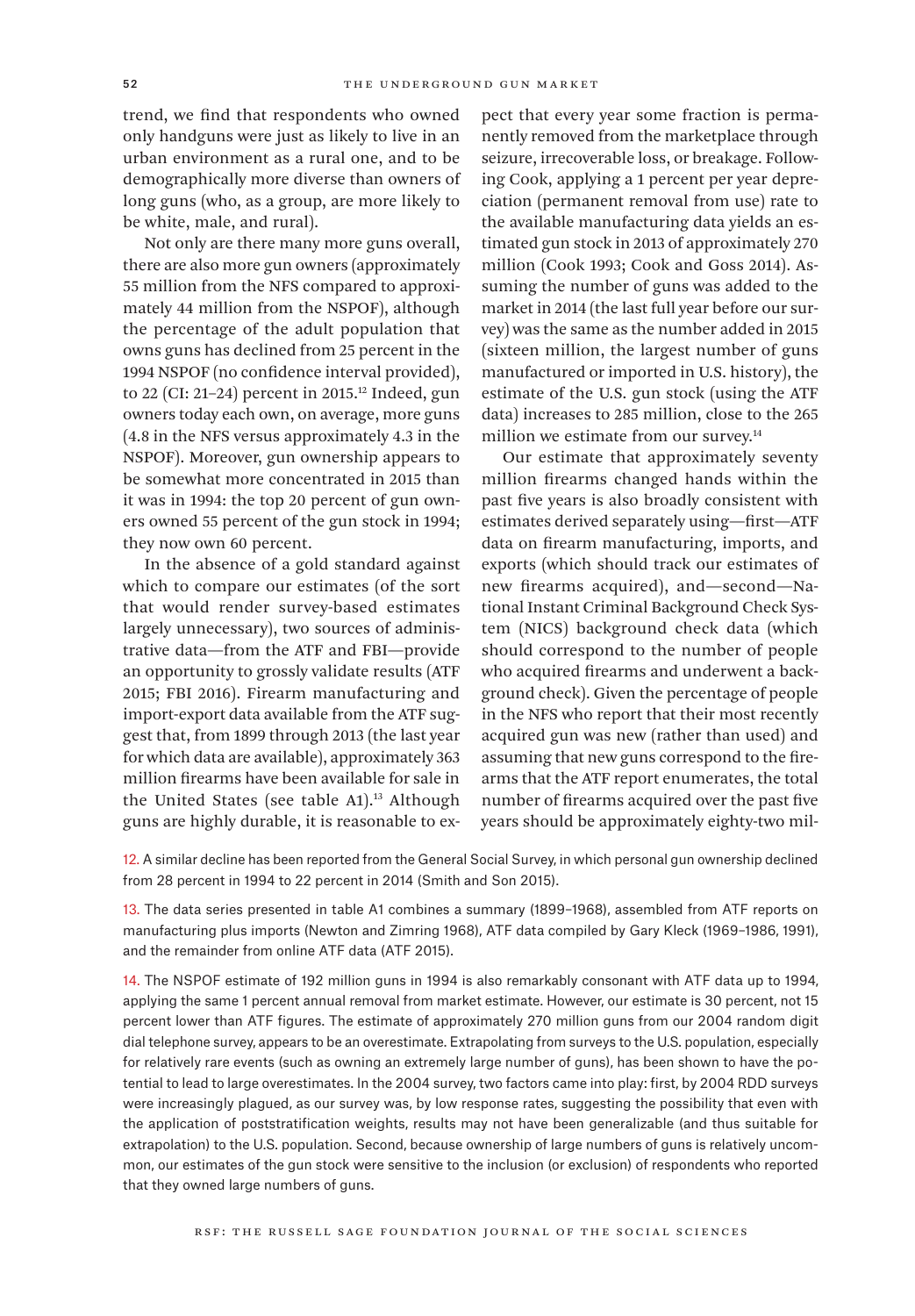trend, we find that respondents who owned only handguns were just as likely to live in an urban environment as a rural one, and to be demographically more diverse than owners of long guns (who, as a group, are more likely to be white, male, and rural).

Not only are there many more guns overall, there are also more gun owners (approximately 55 million from the NFS compared to approximately 44 million from the NSPOF), although the percentage of the adult population that owns guns has declined from 25 percent in the 1994 NSPOF (no confidence interval provided), to 22 (CI: 21-24) percent in 2015.<sup>12</sup> Indeed, gun owners today each own, on average, more guns (4.8 in the NFS versus approximately 4.3 in the NSPOF). Moreover, gun ownership appears to be somewhat more concentrated in 2015 than it was in 1994: the top 20 percent of gun owners owned 55 percent of the gun stock in 1994; they now own 60 percent.

In the absence of a gold standard against which to compare our estimates (of the sort that would render survey-based estimates largely unnecessary), two sources of administrative data—from the ATF and FBI—provide an opportunity to grossly validate results (ATF 2015; FBI 2016). Firearm manufacturing and import-export data available from the ATF suggest that, from 1899 through 2013 (the last year for which data are available), approximately 363 million firearms have been available for sale in the United States (see table A1).<sup>13</sup> Although guns are highly durable, it is reasonable to expect that every year some fraction is permanently removed from the marketplace through seizure, irrecoverable loss, or breakage. Following Cook, applying a 1 percent per year depreciation (permanent removal from use) rate to the available manufacturing data yields an estimated gun stock in 2013 of approximately 270 million (Cook 1993; Cook and Goss 2014). Assuming the number of guns was added to the market in 2014 (the last full year before our survey) was the same as the number added in 2015 (sixteen million, the largest number of guns manufactured or imported in U.S. history), the estimate of the U.S. gun stock (using the ATF data) increases to 285 million, close to the 265 million we estimate from our survey.<sup>14</sup>

Our estimate that approximately seventy million firearms changed hands within the past five years is also broadly consistent with estimates derived separately using—first—ATF data on firearm manufacturing, imports, and exports (which should track our estimates of new firearms acquired), and—second—National Instant Criminal Background Check System (NICS) background check data (which should correspond to the number of people who acquired firearms and underwent a background check). Given the percentage of people in the NFS who report that their most recently acquired gun was new (rather than used) and assuming that new guns correspond to the firearms that the ATF report enumerates, the total number of firearms acquired over the past five years should be approximately eighty-two mil-

12. A similar decline has been reported from the General Social Survey, in which personal gun ownership declined from 28 percent in 1994 to 22 percent in 2014 (Smith and Son 2015).

13. The data series presented in table A1 combines a summary (1899–1968), assembled from ATF reports on manufacturing plus imports (Newton and Zimring 1968), ATF data compiled by Gary Kleck (1969–1986, 1991), and the remainder from online ATF data (ATF 2015).

14. The NSPOF estimate of 192 million guns in 1994 is also remarkably consonant with ATF data up to 1994, applying the same 1 percent annual removal from market estimate. However, our estimate is 30 percent, not 15 percent lower than ATF figures. The estimate of approximately 270 million guns from our 2004 random digit dial telephone survey, appears to be an overestimate. Extrapolating from surveys to the U.S. population, especially for relatively rare events (such as owning an extremely large number of guns), has been shown to have the potential to lead to large overestimates. In the 2004 survey, two factors came into play: first, by 2004 RDD surveys were increasingly plagued, as our survey was, by low response rates, suggesting the possibility that even with the application of poststratification weights, results may not have been generalizable (and thus suitable for extrapolation) to the U.S. population. Second, because ownership of large numbers of guns is relatively uncommon, our estimates of the gun stock were sensitive to the inclusion (or exclusion) of respondents who reported that they owned large numbers of guns.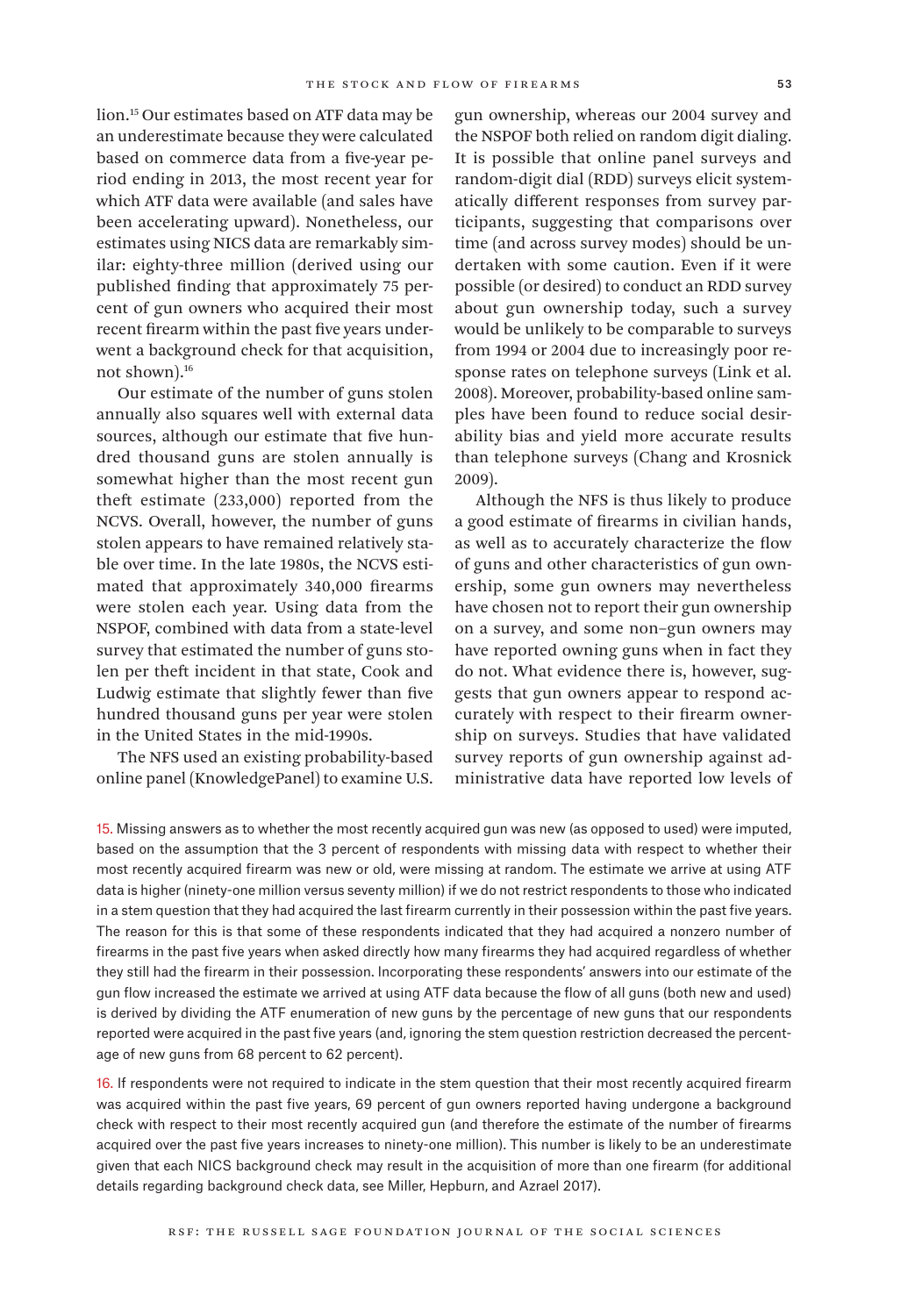lion.15 Our estimates based on ATF data may be an underestimate because they were calculated based on commerce data from a five-year period ending in 2013, the most recent year for which ATF data were available (and sales have been accelerating upward). Nonetheless, our estimates using NICS data are remarkably similar: eighty-three million (derived using our published finding that approximately 75 percent of gun owners who acquired their most recent firearm within the past five years underwent a background check for that acquisition, not shown).16

Our estimate of the number of guns stolen annually also squares well with external data sources, although our estimate that five hundred thousand guns are stolen annually is somewhat higher than the most recent gun theft estimate (233,000) reported from the NCVS. Overall, however, the number of guns stolen appears to have remained relatively stable over time. In the late 1980s, the NCVS estimated that approximately 340,000 firearms were stolen each year. Using data from the NSPOF, combined with data from a state-level survey that estimated the number of guns stolen per theft incident in that state, Cook and Ludwig estimate that slightly fewer than five hundred thousand guns per year were stolen in the United States in the mid-1990s.

The NFS used an existing probability-based online panel (KnowledgePanel) to examine U.S. gun ownership, whereas our 2004 survey and the NSPOF both relied on random digit dialing. It is possible that online panel surveys and random-digit dial (RDD) surveys elicit systematically different responses from survey participants, suggesting that comparisons over time (and across survey modes) should be undertaken with some caution. Even if it were possible (or desired) to conduct an RDD survey about gun ownership today, such a survey would be unlikely to be comparable to surveys from 1994 or 2004 due to increasingly poor response rates on telephone surveys (Link et al. 2008). Moreover, probability-based online samples have been found to reduce social desirability bias and yield more accurate results than telephone surveys (Chang and Krosnick 2009).

Although the NFS is thus likely to produce a good estimate of firearms in civilian hands, as well as to accurately characterize the flow of guns and other characteristics of gun ownership, some gun owners may nevertheless have chosen not to report their gun ownership on a survey, and some non–gun owners may have reported owning guns when in fact they do not. What evidence there is, however, suggests that gun owners appear to respond accurately with respect to their firearm ownership on surveys. Studies that have validated survey reports of gun ownership against administrative data have reported low levels of

15. Missing answers as to whether the most recently acquired gun was new (as opposed to used) were imputed, based on the assumption that the 3 percent of respondents with missing data with respect to whether their most recently acquired firearm was new or old, were missing at random. The estimate we arrive at using ATF data is higher (ninety-one million versus seventy million) if we do not restrict respondents to those who indicated in a stem question that they had acquired the last firearm currently in their possession within the past five years. The reason for this is that some of these respondents indicated that they had acquired a nonzero number of firearms in the past five years when asked directly how many firearms they had acquired regardless of whether they still had the firearm in their possession. Incorporating these respondents' answers into our estimate of the gun flow increased the estimate we arrived at using ATF data because the flow of all guns (both new and used) is derived by dividing the ATF enumeration of new guns by the percentage of new guns that our respondents reported were acquired in the past five years (and, ignoring the stem question restriction decreased the percentage of new guns from 68 percent to 62 percent).

16. If respondents were not required to indicate in the stem question that their most recently acquired firearm was acquired within the past five years, 69 percent of gun owners reported having undergone a background check with respect to their most recently acquired gun (and therefore the estimate of the number of firearms acquired over the past five years increases to ninety-one million). This number is likely to be an underestimate given that each NICS background check may result in the acquisition of more than one firearm (for additional details regarding background check data, see Miller, Hepburn, and Azrael 2017).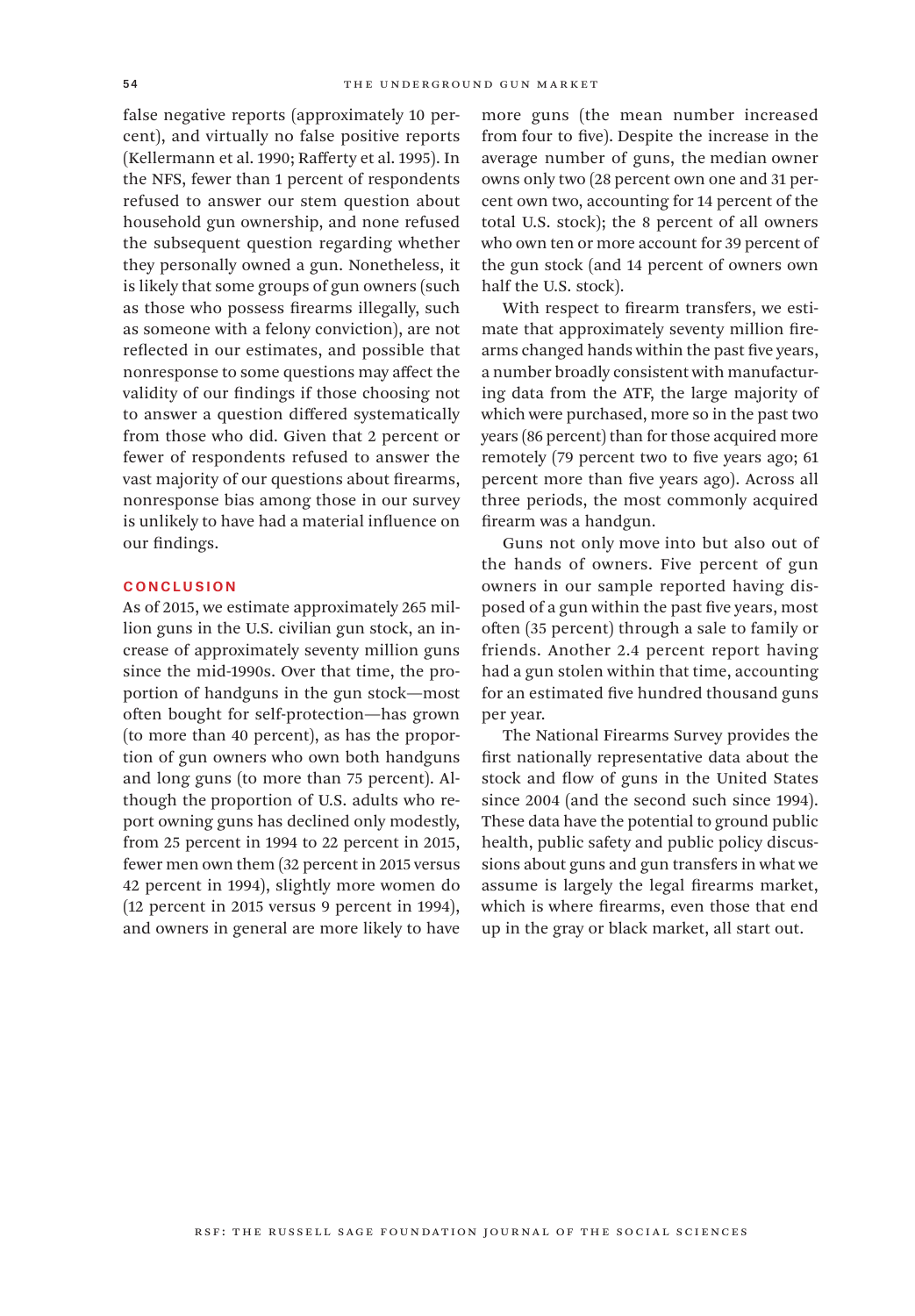false negative reports (approximately 10 percent), and virtually no false positive reports (Kellermann et al. 1990; Rafferty et al. 1995). In the NFS, fewer than 1 percent of respondents refused to answer our stem question about household gun ownership, and none refused the subsequent question regarding whether they personally owned a gun. Nonetheless, it is likely that some groups of gun owners (such as those who possess firearms illegally, such as someone with a felony conviction), are not reflected in our estimates, and possible that nonresponse to some questions may affect the validity of our findings if those choosing not to answer a question differed systematically from those who did. Given that 2 percent or fewer of respondents refused to answer the vast majority of our questions about firearms, nonresponse bias among those in our survey is unlikely to have had a material influence on our findings.

## **CONCLUSION**

As of 2015, we estimate approximately 265 million guns in the U.S. civilian gun stock, an increase of approximately seventy million guns since the mid-1990s. Over that time, the proportion of handguns in the gun stock—most often bought for self-protection—has grown (to more than 40 percent), as has the proportion of gun owners who own both handguns and long guns (to more than 75 percent). Although the proportion of U.S. adults who report owning guns has declined only modestly, from 25 percent in 1994 to 22 percent in 2015, fewer men own them (32 percent in 2015 versus 42 percent in 1994), slightly more women do (12 percent in 2015 versus 9 percent in 1994), and owners in general are more likely to have

more guns (the mean number increased from four to five). Despite the increase in the average number of guns, the median owner owns only two (28 percent own one and 31 percent own two, accounting for 14 percent of the total U.S. stock); the 8 percent of all owners who own ten or more account for 39 percent of the gun stock (and 14 percent of owners own half the U.S. stock).

With respect to firearm transfers, we estimate that approximately seventy million firearms changed hands within the past five years, a number broadly consistent with manufacturing data from the ATF, the large majority of which were purchased, more so in the past two years (86 percent) than for those acquired more remotely (79 percent two to five years ago; 61 percent more than five years ago). Across all three periods, the most commonly acquired firearm was a handgun.

Guns not only move into but also out of the hands of owners. Five percent of gun owners in our sample reported having disposed of a gun within the past five years, most often (35 percent) through a sale to family or friends. Another 2.4 percent report having had a gun stolen within that time, accounting for an estimated five hundred thousand guns per year.

The National Firearms Survey provides the first nationally representative data about the stock and flow of guns in the United States since 2004 (and the second such since 1994). These data have the potential to ground public health, public safety and public policy discussions about guns and gun transfers in what we assume is largely the legal firearms market, which is where firearms, even those that end up in the gray or black market, all start out.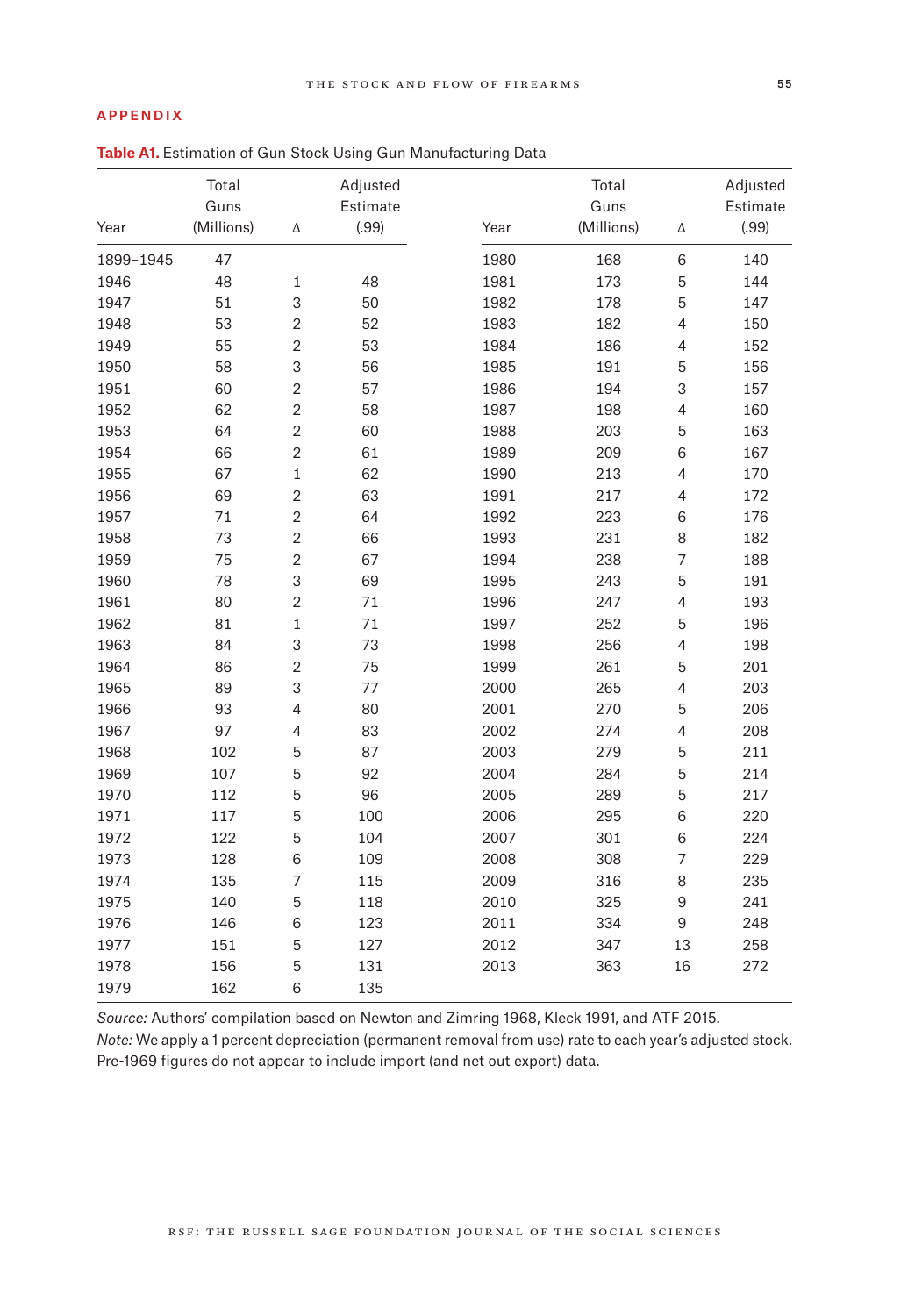### Appendix

# **Table A1.** Estimation of Gun Stock Using Gun Manufacturing Data

|           | Total<br>Guns |                | Adjusted<br>Estimate |      | Total<br>Guns |                  | Adjusted<br>Estimate |
|-----------|---------------|----------------|----------------------|------|---------------|------------------|----------------------|
| Year      | (Millions)    | Δ              | (.99)                | Year | (Millions)    | Δ                | (.99)                |
| 1899-1945 | 47            |                |                      | 1980 | 168           | $\,6\,$          | 140                  |
| 1946      | 48            | $\mathbf 1$    | 48                   | 1981 | 173           | 5                | 144                  |
| 1947      | 51            | 3              | 50                   | 1982 | 178           | 5                | 147                  |
| 1948      | 53            | $\overline{2}$ | 52                   | 1983 | 182           | $\overline{4}$   | 150                  |
| 1949      | 55            | $\overline{2}$ | 53                   | 1984 | 186           | $\overline{4}$   | 152                  |
| 1950      | 58            | 3              | 56                   | 1985 | 191           | 5                | 156                  |
| 1951      | 60            | $\sqrt{2}$     | 57                   | 1986 | 194           | 3                | 157                  |
| 1952      | 62            | $\overline{2}$ | 58                   | 1987 | 198           | $\overline{4}$   | 160                  |
| 1953      | 64            | $\overline{2}$ | 60                   | 1988 | 203           | $\mathbf 5$      | 163                  |
| 1954      | 66            | $\overline{2}$ | 61                   | 1989 | 209           | 6                | 167                  |
| 1955      | 67            | $\mathbf 1$    | 62                   | 1990 | 213           | $\overline{4}$   | 170                  |
| 1956      | 69            | $\sqrt{2}$     | 63                   | 1991 | 217           | $\overline{4}$   | 172                  |
| 1957      | 71            | $\overline{2}$ | 64                   | 1992 | 223           | 6                | 176                  |
| 1958      | 73            | $\overline{2}$ | 66                   | 1993 | 231           | 8                | 182                  |
| 1959      | 75            | $\overline{2}$ | 67                   | 1994 | 238           | $\overline{7}$   | 188                  |
| 1960      | 78            | 3              | 69                   | 1995 | 243           | $\mathbf 5$      | 191                  |
| 1961      | 80            | $\overline{2}$ | 71                   | 1996 | 247           | $\overline{4}$   | 193                  |
| 1962      | 81            | $\mathbf{1}$   | 71                   | 1997 | 252           | 5                | 196                  |
| 1963      | 84            | 3              | 73                   | 1998 | 256           | $\overline{4}$   | 198                  |
| 1964      | 86            | $\overline{2}$ | 75                   | 1999 | 261           | $\mathbf 5$      | 201                  |
| 1965      | 89            | 3              | 77                   | 2000 | 265           | $\overline{4}$   | 203                  |
| 1966      | 93            | $\overline{4}$ | 80                   | 2001 | 270           | 5                | 206                  |
| 1967      | 97            | $\overline{4}$ | 83                   | 2002 | 274           | $\overline{4}$   | 208                  |
| 1968      | 102           | 5              | 87                   | 2003 | 279           | 5                | 211                  |
| 1969      | 107           | 5              | 92                   | 2004 | 284           | 5                | 214                  |
| 1970      | 112           | 5              | 96                   | 2005 | 289           | 5                | 217                  |
| 1971      | 117           | 5              | 100                  | 2006 | 295           | 6                | 220                  |
| 1972      | 122           | 5              | 104                  | 2007 | 301           | 6                | 224                  |
| 1973      | 128           | 6              | 109                  | 2008 | 308           | $\overline{7}$   | 229                  |
| 1974      | 135           | $\overline{7}$ | 115                  | 2009 | 316           | 8                | 235                  |
| 1975      | 140           | 5              | 118                  | 2010 | 325           | $\boldsymbol{9}$ | 241                  |
| 1976      | 146           | 6              | 123                  | 2011 | 334           | $\mathsf 9$      | 248                  |
| 1977      | 151           | 5              | 127                  | 2012 | 347           | 13               | 258                  |
| 1978      | 156           | 5              | 131                  | 2013 | 363           | 16               | 272                  |
| 1979      | 162           | 6              | 135                  |      |               |                  |                      |

*Source:* Authors' compilation based on Newton and Zimring 1968, Kleck 1991, and ATF 2015. *Note:* We apply a 1 percent depreciation (permanent removal from use) rate to each year's adjusted stock. Pre-1969 figures do not appear to include import (and net out export) data.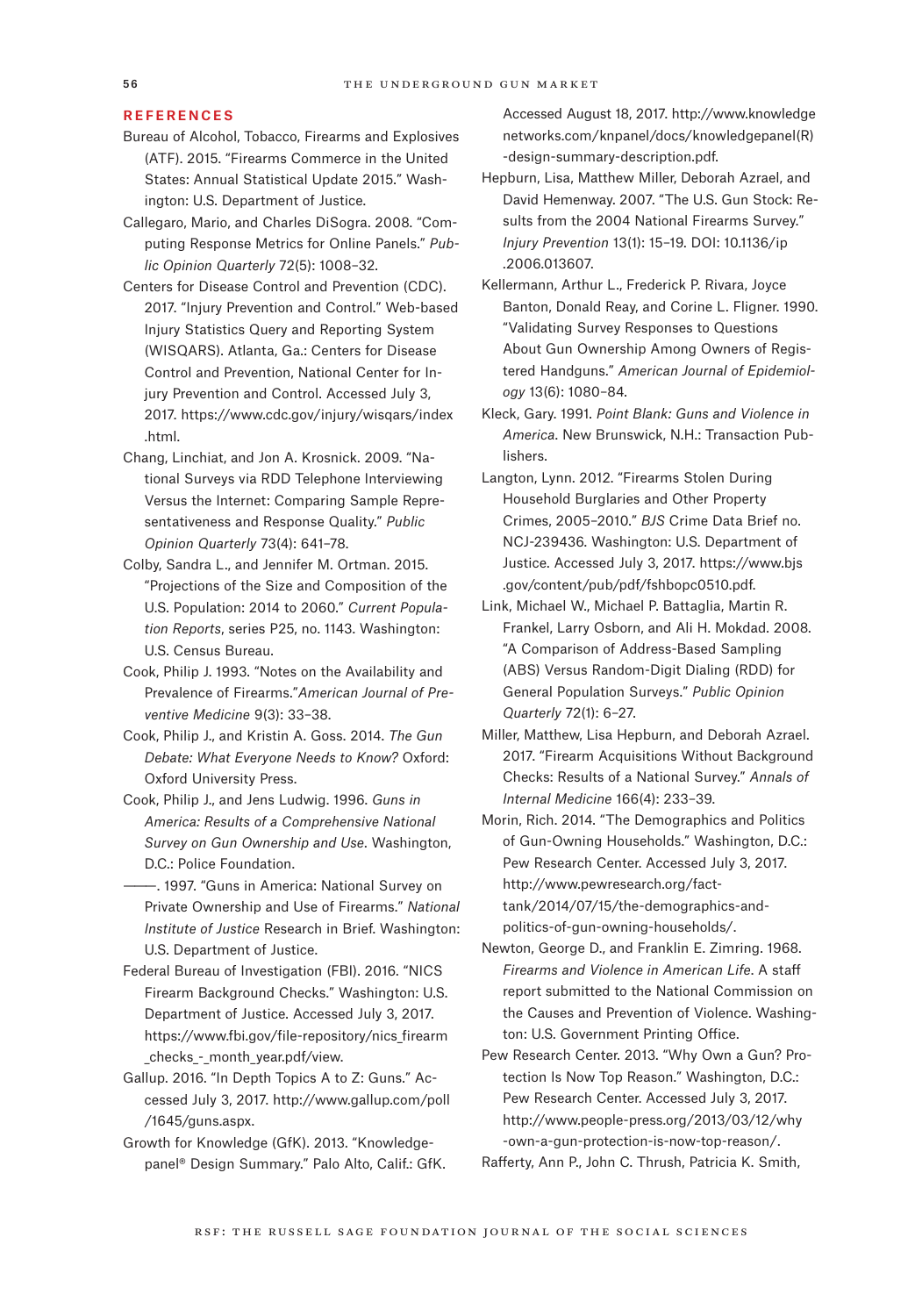#### **REFERENCES**

- Bureau of Alcohol, Tobacco, Firearms and Explosives (ATF). 2015. "Firearms Commerce in the United States: Annual Statistical Update 2015." Washington: U.S. Department of Justice.
- Callegaro, Mario, and Charles DiSogra. 2008. "Computing Response Metrics for Online Panels." *Public Opinion Quarterly* 72(5): 1008–32.
- Centers for Disease Control and Prevention (CDC). 2017. "Injury Prevention and Control." Web-based Injury Statistics Query and Reporting System (WISQARS). Atlanta, Ga.: Centers for Disease Control and Prevention, National Center for Injury Prevention and Control. Accessed July 3, 2017. [https://www.cdc.gov/injury/wisqars/index](https://www.cdc.gov/injury/wisqars/index.html.) [.html.](https://www.cdc.gov/injury/wisqars/index.html.)
- Chang, Linchiat, and Jon A. Krosnick. 2009. "National Surveys via RDD Telephone Interviewing Versus the Internet: Comparing Sample Representativeness and Response Quality." *Public Opinion Quarterly* 73(4): 641–78.
- Colby, Sandra L., and Jennifer M. Ortman. 2015. "Projections of the Size and Composition of the U.S. Population: 2014 to 2060." *Current Population Reports*, series P25, no. 1143. Washington: U.S. Census Bureau.
- Cook, Philip J. 1993. "Notes on the Availability and Prevalence of Firearms."*American Journal of Preventive Medicine* 9(3): 33–38.
- Cook, Philip J., and Kristin A. Goss. 2014. *The Gun Debate: What Everyone Needs to Know?* Oxford: Oxford University Press.
- Cook, Philip J., and Jens Ludwig. 1996. *Guns in America: Results of a Comprehensive National Survey on Gun Ownership and Use*. Washington, D.C.: Police Foundation.
- ———. 1997. "Guns in America: National Survey on Private Ownership and Use of Firearms." *National Institute of Justice* Research in Brief. Washington: U.S. Department of Justice.
- Federal Bureau of Investigation (FBI). 2016. "NICS Firearm Background Checks." Washington: U.S. Department of Justice. Accessed July 3, 2017. [https://www.fbi.gov/file-repository/nics\\_firearm](https://www.fbi.gov/file-repository/nics_firearm_checks_-_month_year.pdf/view.) checks - month year.pdf/view.
- Gallup. 2016. "In Depth Topics A to Z: Guns." Accessed July 3, 2017. [http://www.gallup.com/poll](http://www.gallup.com/poll/1645/guns.aspx.) [/1645/guns.aspx.](http://www.gallup.com/poll/1645/guns.aspx.)
- Growth for Knowledge (GfK). 2013. "Knowledgepanel® Design Summary." Palo Alto, Calif.: GfK.

Accessed August 18, 2017. [http://www.knowledge](http://www.knowledgenetworks.com/knpanel/docs/knowledgepanel(R)-design-summary-description.pdf.) [networks.com/knpanel/docs/knowledgepanel\(R\)](http://www.knowledgenetworks.com/knpanel/docs/knowledgepanel(R)-design-summary-description.pdf.) [-design-summary-description.pdf.](http://www.knowledgenetworks.com/knpanel/docs/knowledgepanel(R)-design-summary-description.pdf.)

- Hepburn, Lisa, Matthew Miller, Deborah Azrael, and David Hemenway. 2007. "The U.S. Gun Stock: Results from the 2004 National Firearms Survey." *Injury Prevention* 13(1): 15–19. DOI: 10.1136/ip .2006.013607.
- Kellermann, Arthur L., Frederick P. Rivara, Joyce Banton, Donald Reay, and Corine L. Fligner. 1990. "Validating Survey Responses to Questions About Gun Ownership Among Owners of Registered Handguns." *American Journal of Epidemiology* 13(6): 1080–84.
- Kleck, Gary. 1991. *Point Blank: Guns and Violence in America*. New Brunswick, N.H.: Transaction Publishers.
- Langton, Lynn. 2012. "Firearms Stolen During Household Burglaries and Other Property Crimes, 2005–2010." *BJS* Crime Data Brief no. NCJ-239436. Washington: U.S. Department of Justice. Accessed July 3, 2017. [https://www.bjs](https://www.bjs.gov/content/pub/pdf/fshbopc0510.pdf.) [.gov/content/pub/pdf/fshbopc0510.pdf.](https://www.bjs.gov/content/pub/pdf/fshbopc0510.pdf.)
- Link, Michael W., Michael P. Battaglia, Martin R. Frankel, Larry Osborn, and Ali H. Mokdad. 2008. "A Comparison of Address-Based Sampling (ABS) Versus Random-Digit Dialing (RDD) for General Population Surveys." *Public Opinion Quarterly* 72(1): 6–27.
- Miller, Matthew, Lisa Hepburn, and Deborah Azrael. 2017. "Firearm Acquisitions Without Background Checks: Results of a National Survey." *Annals of Internal Medicine* 166(4): 233–39.
- Morin, Rich. 2014. "The Demographics and Politics of Gun-Owning Households." Washington, D.C.: Pew Research Center. Accessed July 3, 2017. [http://www.pewresearch.org/fact](http://www.pewresearch.org/fact-tank/2014/07/15/the-demographics-and-politics-of-gun-owning-households/.)[tank/2014/07/15/the-demographics-and](http://www.pewresearch.org/fact-tank/2014/07/15/the-demographics-and-politics-of-gun-owning-households/.)[politics-of-gun-owning-households/.](http://www.pewresearch.org/fact-tank/2014/07/15/the-demographics-and-politics-of-gun-owning-households/.)
- Newton, George D., and Franklin E. Zimring. 1968. *Firearms and Violence in American Life*. A staff report submitted to the National Commission on the Causes and Prevention of Violence. Washington: U.S. Government Printing Office.
- Pew Research Center. 2013. "Why Own a Gun? Protection Is Now Top Reason." Washington, D.C.: Pew Research Center. Accessed July 3, 2017. [http://www.people-press.org/2013/03/12/why](http://www.people-press.org/2013/03/12/why-own-a-gun-protection-is-now-top-reason/.) [-own-a-gun-protection-is-now-top-reason/.](http://www.people-press.org/2013/03/12/why-own-a-gun-protection-is-now-top-reason/.)

Rafferty, Ann P., John C. Thrush, Patricia K. Smith,